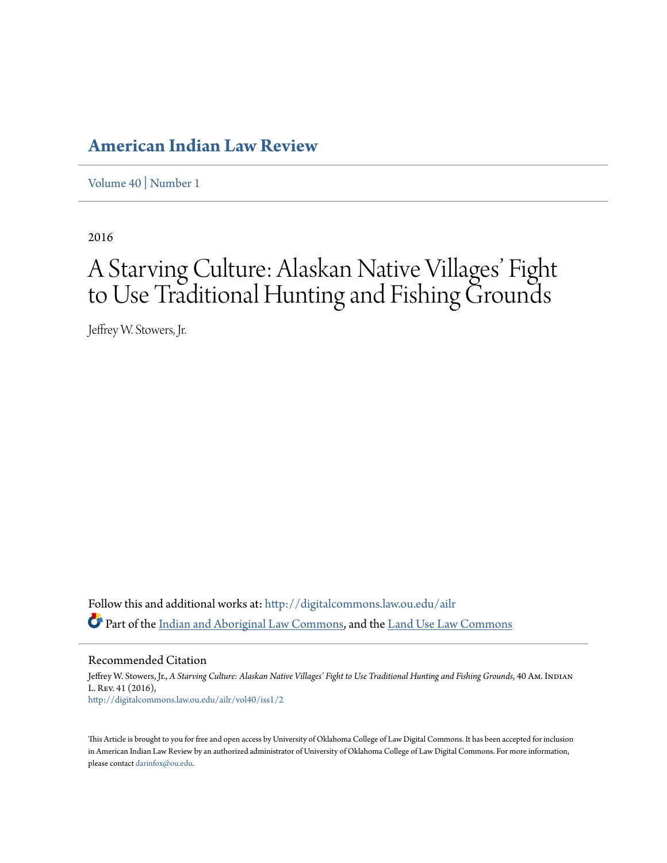# **[American Indian Law Review](http://digitalcommons.law.ou.edu/ailr?utm_source=digitalcommons.law.ou.edu%2Failr%2Fvol40%2Fiss1%2F2&utm_medium=PDF&utm_campaign=PDFCoverPages)**

[Volume 40](http://digitalcommons.law.ou.edu/ailr/vol40?utm_source=digitalcommons.law.ou.edu%2Failr%2Fvol40%2Fiss1%2F2&utm_medium=PDF&utm_campaign=PDFCoverPages) | [Number 1](http://digitalcommons.law.ou.edu/ailr/vol40/iss1?utm_source=digitalcommons.law.ou.edu%2Failr%2Fvol40%2Fiss1%2F2&utm_medium=PDF&utm_campaign=PDFCoverPages)

2016

# A Starving Culture: Alaskan Native Villages' Fight to Use Traditional Hunting and Fishing Grounds

Jeffrey W. Stowers, Jr.

Follow this and additional works at: [http://digitalcommons.law.ou.edu/ailr](http://digitalcommons.law.ou.edu/ailr?utm_source=digitalcommons.law.ou.edu%2Failr%2Fvol40%2Fiss1%2F2&utm_medium=PDF&utm_campaign=PDFCoverPages) Part of the [Indian and Aboriginal Law Commons](http://network.bepress.com/hgg/discipline/894?utm_source=digitalcommons.law.ou.edu%2Failr%2Fvol40%2Fiss1%2F2&utm_medium=PDF&utm_campaign=PDFCoverPages), and the [Land Use Law Commons](http://network.bepress.com/hgg/discipline/852?utm_source=digitalcommons.law.ou.edu%2Failr%2Fvol40%2Fiss1%2F2&utm_medium=PDF&utm_campaign=PDFCoverPages)

Recommended Citation

Jeffrey W. Stowers, Jr., *A Starving Culture: Alaskan Native Villages' Fight to Use Traditional Hunting and Fishing Grounds*, 40 Am. Indian L. Rev. 41 (2016), [http://digitalcommons.law.ou.edu/ailr/vol40/iss1/2](http://digitalcommons.law.ou.edu/ailr/vol40/iss1/2?utm_source=digitalcommons.law.ou.edu%2Failr%2Fvol40%2Fiss1%2F2&utm_medium=PDF&utm_campaign=PDFCoverPages)

This Article is brought to you for free and open access by University of Oklahoma College of Law Digital Commons. It has been accepted for inclusion in American Indian Law Review by an authorized administrator of University of Oklahoma College of Law Digital Commons. For more information, please contact [darinfox@ou.edu.](mailto:darinfox@ou.edu)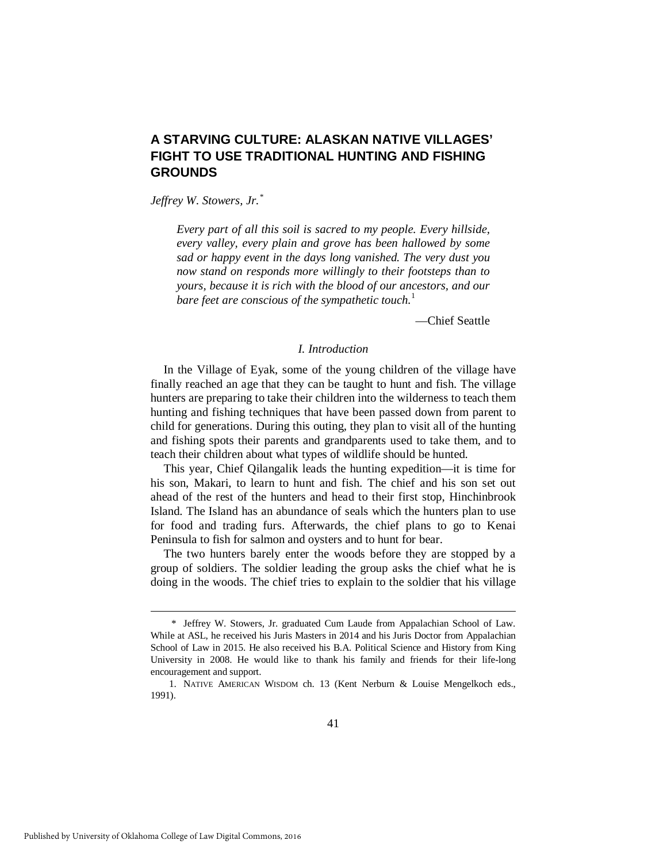# **A STARVING CULTURE: ALASKAN NATIVE VILLAGES' FIGHT TO USE TRADITIONAL HUNTING AND FISHING GROUNDS**

*Jeffrey W. Stowers, Jr.[\\*](#page-1-0)*

*Every part of all this soil is sacred to my people. Every hillside, every valley, every plain and grove has been hallowed by some sad or happy event in the days long vanished. The very dust you now stand on responds more willingly to their footsteps than to yours, because it is rich with the blood of our ancestors, and our bare feet are conscious of the sympathetic touch.*<sup>[1](#page-1-1)</sup>

—Chief Seattle

# *I. Introduction*

In the Village of Eyak, some of the young children of the village have finally reached an age that they can be taught to hunt and fish. The village hunters are preparing to take their children into the wilderness to teach them hunting and fishing techniques that have been passed down from parent to child for generations. During this outing, they plan to visit all of the hunting and fishing spots their parents and grandparents used to take them, and to teach their children about what types of wildlife should be hunted.

This year, Chief Qilangalik leads the hunting expedition—it is time for his son, Makari, to learn to hunt and fish. The chief and his son set out ahead of the rest of the hunters and head to their first stop, Hinchinbrook Island. The Island has an abundance of seals which the hunters plan to use for food and trading furs. Afterwards, the chief plans to go to Kenai Peninsula to fish for salmon and oysters and to hunt for bear.

The two hunters barely enter the woods before they are stopped by a group of soldiers. The soldier leading the group asks the chief what he is doing in the woods. The chief tries to explain to the soldier that his village

<span id="page-1-0"></span> <sup>\*</sup> Jeffrey W. Stowers, Jr. graduated Cum Laude from Appalachian School of Law. While at ASL, he received his Juris Masters in 2014 and his Juris Doctor from Appalachian School of Law in 2015. He also received his B.A. Political Science and History from King University in 2008. He would like to thank his family and friends for their life-long encouragement and support.

<span id="page-1-1"></span> <sup>1.</sup> NATIVE AMERICAN WISDOM ch. 13 (Kent Nerburn & Louise Mengelkoch eds., 1991).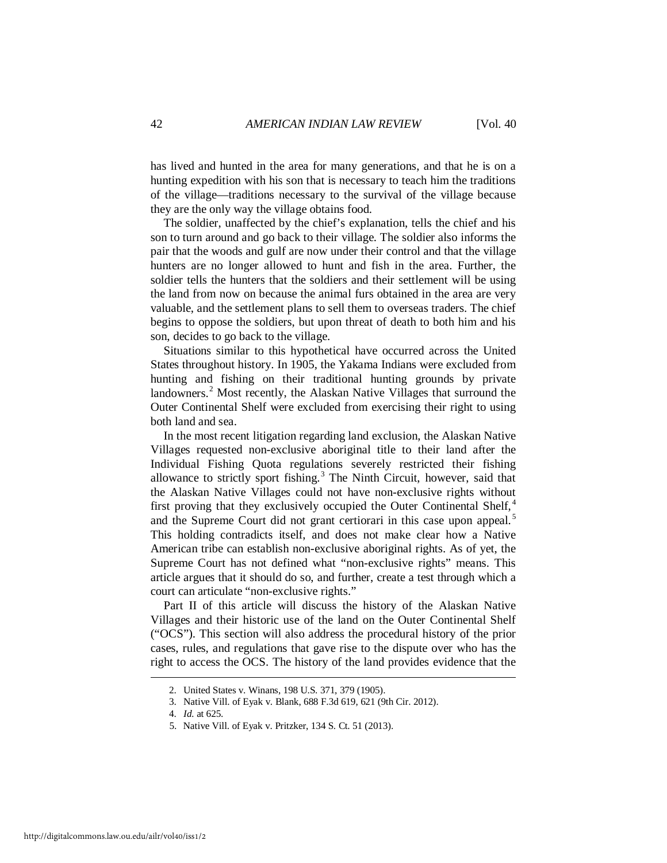has lived and hunted in the area for many generations, and that he is on a hunting expedition with his son that is necessary to teach him the traditions of the village—traditions necessary to the survival of the village because they are the only way the village obtains food.

The soldier, unaffected by the chief's explanation, tells the chief and his son to turn around and go back to their village. The soldier also informs the pair that the woods and gulf are now under their control and that the village hunters are no longer allowed to hunt and fish in the area. Further, the soldier tells the hunters that the soldiers and their settlement will be using the land from now on because the animal furs obtained in the area are very valuable, and the settlement plans to sell them to overseas traders. The chief begins to oppose the soldiers, but upon threat of death to both him and his son, decides to go back to the village.

Situations similar to this hypothetical have occurred across the United States throughout history. In 1905, the Yakama Indians were excluded from hunting and fishing on their traditional hunting grounds by private landowners.<sup>[2](#page-2-0)</sup> Most recently, the Alaskan Native Villages that surround the Outer Continental Shelf were excluded from exercising their right to using both land and sea.

In the most recent litigation regarding land exclusion, the Alaskan Native Villages requested non-exclusive aboriginal title to their land after the Individual Fishing Quota regulations severely restricted their fishing allowance to strictly sport fishing.<sup>[3](#page-2-1)</sup> The Ninth Circuit, however, said that the Alaskan Native Villages could not have non-exclusive rights without first proving that they exclusively occupied the Outer Continental Shelf,<sup>[4](#page-2-2)</sup> and the Supreme Court did not grant certiorari in this case upon appeal.<sup>[5](#page-2-3)</sup> This holding contradicts itself, and does not make clear how a Native American tribe can establish non-exclusive aboriginal rights. As of yet, the Supreme Court has not defined what "non-exclusive rights" means. This article argues that it should do so, and further, create a test through which a court can articulate "non-exclusive rights."

Part II of this article will discuss the history of the Alaskan Native Villages and their historic use of the land on the Outer Continental Shelf ("OCS"). This section will also address the procedural history of the prior cases, rules, and regulations that gave rise to the dispute over who has the right to access the OCS. The history of the land provides evidence that the

 <sup>2.</sup> United States v. Winans, 198 U.S. 371, 379 (1905).

<span id="page-2-2"></span><span id="page-2-1"></span><span id="page-2-0"></span> <sup>3.</sup> Native Vill. of Eyak v. Blank, 688 F.3d 619, 621 (9th Cir. 2012).

 <sup>4.</sup> *Id.* at 625.

<span id="page-2-3"></span> <sup>5.</sup> Native Vill. of Eyak v. Pritzker, 134 S. Ct. 51 (2013).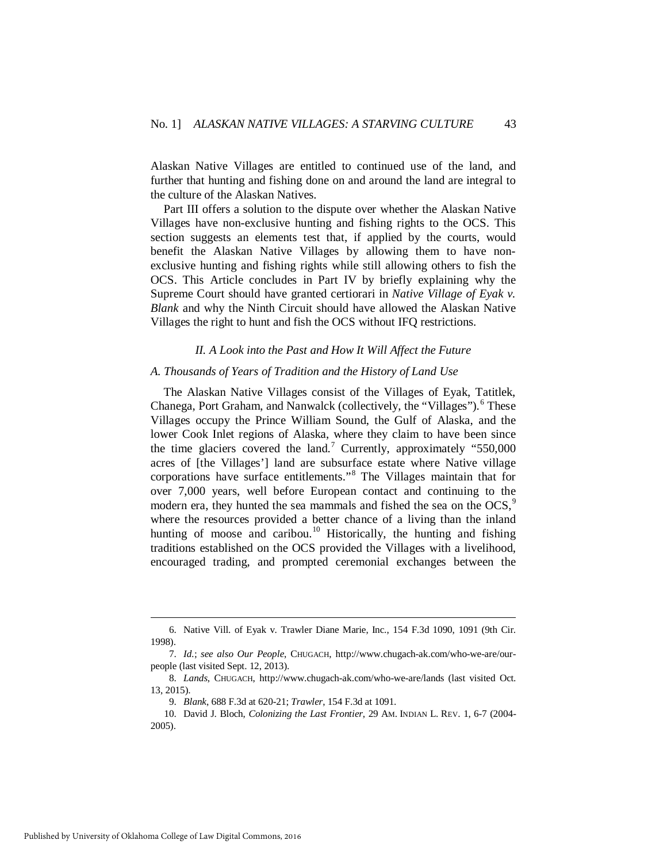Alaskan Native Villages are entitled to continued use of the land, and further that hunting and fishing done on and around the land are integral to the culture of the Alaskan Natives.

Part III offers a solution to the dispute over whether the Alaskan Native Villages have non-exclusive hunting and fishing rights to the OCS. This section suggests an elements test that, if applied by the courts, would benefit the Alaskan Native Villages by allowing them to have nonexclusive hunting and fishing rights while still allowing others to fish the OCS. This Article concludes in Part IV by briefly explaining why the Supreme Court should have granted certiorari in *Native Village of Eyak v. Blank* and why the Ninth Circuit should have allowed the Alaskan Native Villages the right to hunt and fish the OCS without IFQ restrictions.

#### *II. A Look into the Past and How It Will Affect the Future*

# *A. Thousands of Years of Tradition and the History of Land Use*

The Alaskan Native Villages consist of the Villages of Eyak, Tatitlek, Chanega, Port Graham, and Nanwalck (collectively, the "Villages"). [6](#page-3-0) These Villages occupy the Prince William Sound, the Gulf of Alaska, and the lower Cook Inlet regions of Alaska, where they claim to have been since the time glaciers covered the land.<sup>[7](#page-3-1)</sup> Currently, approximately "550,000 acres of [the Villages'] land are subsurface estate where Native village corporations have surface entitlements."[8](#page-3-2) The Villages maintain that for over 7,000 years, well before European contact and continuing to the modern era, they hunted the sea mammals and fished the sea on the OCS,<sup>[9](#page-3-3)</sup> where the resources provided a better chance of a living than the inland hunting of moose and caribou.<sup>[10](#page-3-4)</sup> Historically, the hunting and fishing traditions established on the OCS provided the Villages with a livelihood, encouraged trading, and prompted ceremonial exchanges between the

<span id="page-3-0"></span> <sup>6.</sup> Native Vill. of Eyak v. Trawler Diane Marie, Inc., 154 F.3d 1090, 1091 (9th Cir. 1998).

<span id="page-3-1"></span> <sup>7.</sup> *Id.*; *see also Our People*, CHUGACH, http://www.chugach-ak.com/who-we-are/ourpeople (last visited Sept. 12, 2013).

<span id="page-3-2"></span> <sup>8.</sup> *Lands*, CHUGACH, http://www.chugach-ak.com/who-we-are/lands (last visited Oct. 13, 2015).

 <sup>9.</sup> *Blank*, 688 F.3d at 620-21; *Trawler*, 154 F.3d at 1091.

<span id="page-3-4"></span><span id="page-3-3"></span> <sup>10.</sup> David J. Bloch, *Colonizing the Last Frontier*, 29 AM. INDIAN L. REV. 1, 6-7 (2004- 2005).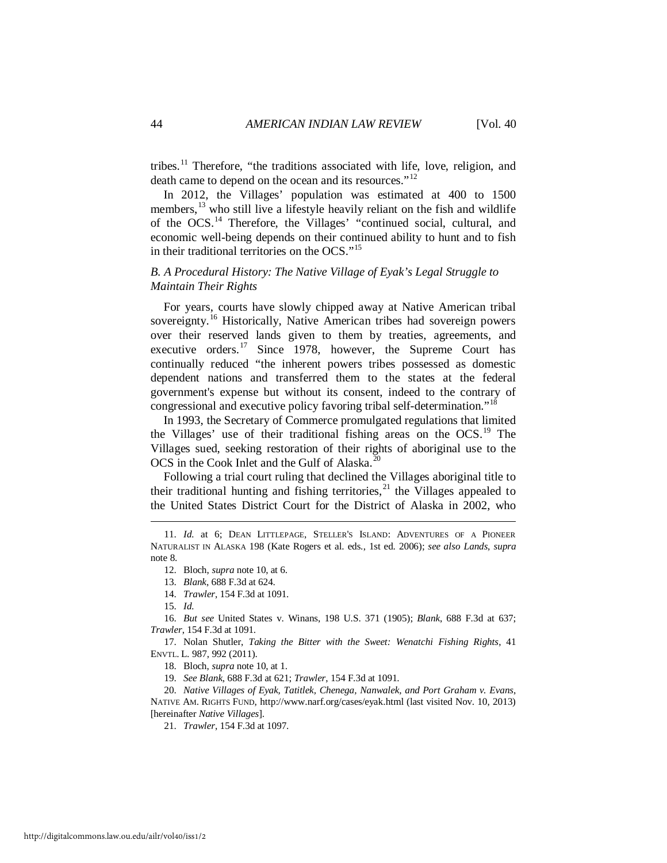tribes.<sup>[11](#page-4-0)</sup> Therefore, "the traditions associated with life, love, religion, and death came to depend on the ocean and its resources."<sup>[12](#page-4-1)</sup>

In 2012, the Villages' population was estimated at 400 to 1500 members,  $^{13}$  $^{13}$  $^{13}$  who still live a lifestyle heavily reliant on the fish and wildlife of the OCS.<sup>[14](#page-4-3)</sup> Therefore, the Villages' "continued social, cultural, and economic well-being depends on their continued ability to hunt and to fish in their traditional territories on the OCS."<sup>[15](#page-4-4)</sup>

# *B. A Procedural History: The Native Village of Eyak's Legal Struggle to Maintain Their Rights*

For years, courts have slowly chipped away at Native American tribal sovereignty.<sup>[16](#page-4-5)</sup> Historically, Native American tribes had sovereign powers over their reserved lands given to them by treaties, agreements, and executive orders.<sup>[17](#page-4-6)</sup> Since 1978, however, the Supreme Court has continually reduced "the inherent powers tribes possessed as domestic dependent nations and transferred them to the states at the federal government's expense but without its consent, indeed to the contrary of congressional and executive policy favoring tribal self-determination."<sup>[18](#page-4-7)</sup>

In 1993, the Secretary of Commerce promulgated regulations that limited the Villages' use of their traditional fishing areas on the OCS.<sup>[19](#page-4-8)</sup> The Villages sued, seeking restoration of their rights of aboriginal use to the OCS in the Cook Inlet and the Gulf of Alaska.<sup>[20](#page-4-9)</sup>

Following a trial court ruling that declined the Villages aboriginal title to their traditional hunting and fishing territories, $^{21}$  $^{21}$  $^{21}$  the Villages appealed to the United States District Court for the District of Alaska in 2002, who

<span id="page-4-1"></span><span id="page-4-0"></span> <sup>11.</sup> *Id.* at 6; DEAN LITTLEPAGE, STELLER'S ISLAND: ADVENTURES OF A PIONEER NATURALIST IN ALASKA 198 (Kate Rogers et al. eds., 1st ed. 2006); *see also Lands*, *supra* note 8.

 <sup>12.</sup> Bloch, *supra* note 10, at 6.

 <sup>13.</sup> *Blank*, 688 F.3d at 624.

 <sup>14.</sup> *Trawler*, 154 F.3d at 1091.

 <sup>15.</sup> *Id.*

<span id="page-4-5"></span><span id="page-4-4"></span><span id="page-4-3"></span><span id="page-4-2"></span> <sup>16.</sup> *But see* United States v. Winans, 198 U.S. 371 (1905); *Blank*, 688 F.3d at 637; *Trawler*, 154 F.3d at 1091.

<span id="page-4-7"></span><span id="page-4-6"></span> <sup>17.</sup> Nolan Shutler, *Taking the Bitter with the Sweet: Wenatchi Fishing Rights*, 41 ENVTL. L. 987, 992 (2011).

 <sup>18.</sup> Bloch, *supra* note 10, at 1.

 <sup>19.</sup> *See Blank*, 688 F.3d at 621; *Trawler*, 154 F.3d at 1091.

<span id="page-4-10"></span><span id="page-4-9"></span><span id="page-4-8"></span> <sup>20.</sup> *Native Villages of Eyak, Tatitlek, Chenega, Nanwalek, and Port Graham v. Evans*, NATIVE AM. RIGHTS FUND, http://www.narf.org/cases/eyak.html (last visited Nov. 10, 2013) [hereinafter *Native Villages*].

 <sup>21.</sup> *Trawler*, 154 F.3d at 1097.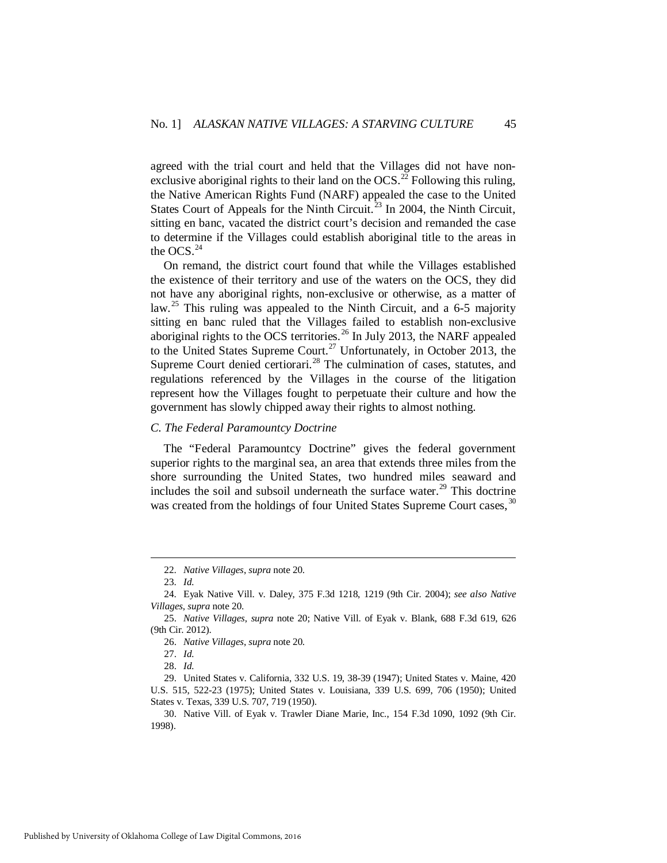agreed with the trial court and held that the Villages did not have nonexclusive aboriginal rights to their land on the  $OCS$ .<sup>[22](#page-5-0)</sup> Following this ruling, the Native American Rights Fund (NARF) appealed the case to the United States Court of Appeals for the Ninth Circuit.<sup>[23](#page-5-1)</sup> In 2004, the Ninth Circuit, sitting en banc, vacated the district court's decision and remanded the case to determine if the Villages could establish aboriginal title to the areas in the OCS  $^{24}$  $^{24}$  $^{24}$ 

On remand, the district court found that while the Villages established the existence of their territory and use of the waters on the OCS, they did not have any aboriginal rights, non-exclusive or otherwise, as a matter of law.<sup>[25](#page-5-3)</sup> This ruling was appealed to the Ninth Circuit, and a 6-5 majority sitting en banc ruled that the Villages failed to establish non-exclusive aboriginal rights to the OCS territories.<sup>[26](#page-5-4)</sup> In July 2013, the NARF appealed to the United States Supreme Court.<sup>[27](#page-5-5)</sup> Unfortunately, in October 2013, the Supreme Court denied certiorari.<sup>[28](#page-5-6)</sup> The culmination of cases, statutes, and regulations referenced by the Villages in the course of the litigation represent how the Villages fought to perpetuate their culture and how the government has slowly chipped away their rights to almost nothing.

# *C. The Federal Paramountcy Doctrine*

The "Federal Paramountcy Doctrine" gives the federal government superior rights to the marginal sea, an area that extends three miles from the shore surrounding the United States, two hundred miles seaward and includes the soil and subsoil underneath the surface water. $^{29}$  $^{29}$  $^{29}$  This doctrine was created from the holdings of four United States Supreme Court cases, <sup>[30](#page-5-8)</sup>

 <sup>22.</sup> *Native Villages*, *supra* note 20.

 <sup>23.</sup> *Id.*

<span id="page-5-2"></span><span id="page-5-1"></span><span id="page-5-0"></span> <sup>24.</sup> Eyak Native Vill. v. Daley, 375 F.3d 1218, 1219 (9th Cir. 2004); *see also Native Villages*, *supra* note 20.

<span id="page-5-4"></span><span id="page-5-3"></span> <sup>25.</sup> *Native Villages*, *supra* note 20; Native Vill. of Eyak v. Blank, 688 F.3d 619, 626 (9th Cir. 2012).

 <sup>26.</sup> *Native Villages*, *supra* note 20.

 <sup>27.</sup> *Id.*

 <sup>28.</sup> *Id.*

<span id="page-5-7"></span><span id="page-5-6"></span><span id="page-5-5"></span> <sup>29.</sup> United States v. California, 332 U.S. 19, 38-39 (1947); United States v. Maine, 420 U.S. 515, 522-23 (1975); United States v. Louisiana, 339 U.S. 699, 706 (1950); United States v. Texas, 339 U.S. 707, 719 (1950).

<span id="page-5-8"></span> <sup>30.</sup> Native Vill. of Eyak v. Trawler Diane Marie, Inc., 154 F.3d 1090, 1092 (9th Cir. 1998).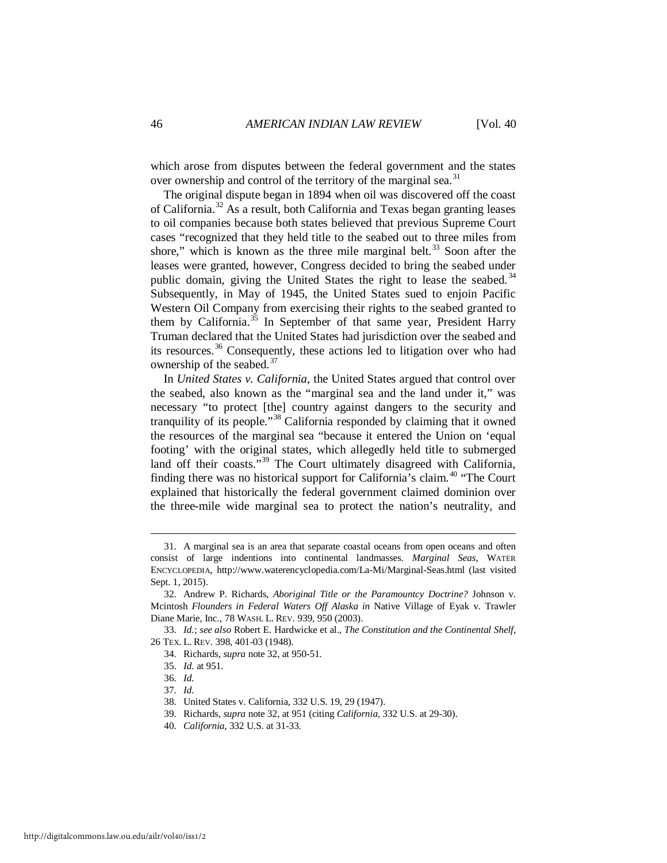which arose from disputes between the federal government and the states over ownership and control of the territory of the marginal sea.<sup>[31](#page-6-0)</sup>

The original dispute began in 1894 when oil was discovered off the coast of California.[32](#page-6-1) As a result, both California and Texas began granting leases to oil companies because both states believed that previous Supreme Court cases "recognized that they held title to the seabed out to three miles from shore," which is known as the three mile marginal belt. $33$  Soon after the leases were granted, however, Congress decided to bring the seabed under public domain, giving the United States the right to lease the seabed.<sup>[34](#page-6-3)</sup> Subsequently, in May of 1945, the United States sued to enjoin Pacific Western Oil Company from exercising their rights to the seabed granted to them by California.<sup>[35](#page-6-4)</sup> In September of that same year, President Harry Truman declared that the United States had jurisdiction over the seabed and its resources.[36](#page-6-5) Consequently, these actions led to litigation over who had ownership of the seabed.<sup>[37](#page-6-6)</sup>

In *United States v. California*, the United States argued that control over the seabed, also known as the "marginal sea and the land under it," was necessary "to protect [the] country against dangers to the security and tranquility of its people.<sup>[38](#page-6-7)</sup> California responded by claiming that it owned the resources of the marginal sea "because it entered the Union on 'equal footing' with the original states, which allegedly held title to submerged land off their coasts."<sup>[39](#page-6-8)</sup> The Court ultimately disagreed with California, finding there was no historical support for California's claim. [40](#page-6-9) "The Court explained that historically the federal government claimed dominion over the three-mile wide marginal sea to protect the nation's neutrality, and

<span id="page-6-0"></span> <sup>31.</sup> A marginal sea is an area that separate coastal oceans from open oceans and often consist of large indentions into continental landmasses. *Marginal Seas*, WATER ENCYCLOPEDIA, http://www.waterencyclopedia.com/La-Mi/Marginal-Seas.html (last visited Sept. 1, 2015).

<span id="page-6-1"></span> <sup>32.</sup> Andrew P. Richards, *Aboriginal Title or the Paramountcy Doctrine?* Johnson v. Mcintosh *Flounders in Federal Waters Off Alaska in* Native Village of Eyak v. Trawler Diane Marie, Inc., 78 WASH. L. REV. 939, 950 (2003).

<span id="page-6-6"></span><span id="page-6-5"></span><span id="page-6-4"></span><span id="page-6-3"></span><span id="page-6-2"></span> <sup>33.</sup> *Id.*; *see also* Robert E. Hardwicke et al., *The Constitution and the Continental Shelf*, 26 TEX. L. REV. 398, 401-03 (1948).

 <sup>34.</sup> Richards, *supra* note 32, at 950-51.

 <sup>35.</sup> *Id.* at 951.

 <sup>36.</sup> *Id.*

 <sup>37.</sup> *Id.*

<span id="page-6-7"></span> <sup>38.</sup> United States v. California, 332 U.S. 19, 29 (1947).

<span id="page-6-8"></span> <sup>39.</sup> Richards, *supra* note 32, at 951 (citing *California*, 332 U.S. at 29-30).

<span id="page-6-9"></span> <sup>40.</sup> *California*, 332 U.S. at 31-33.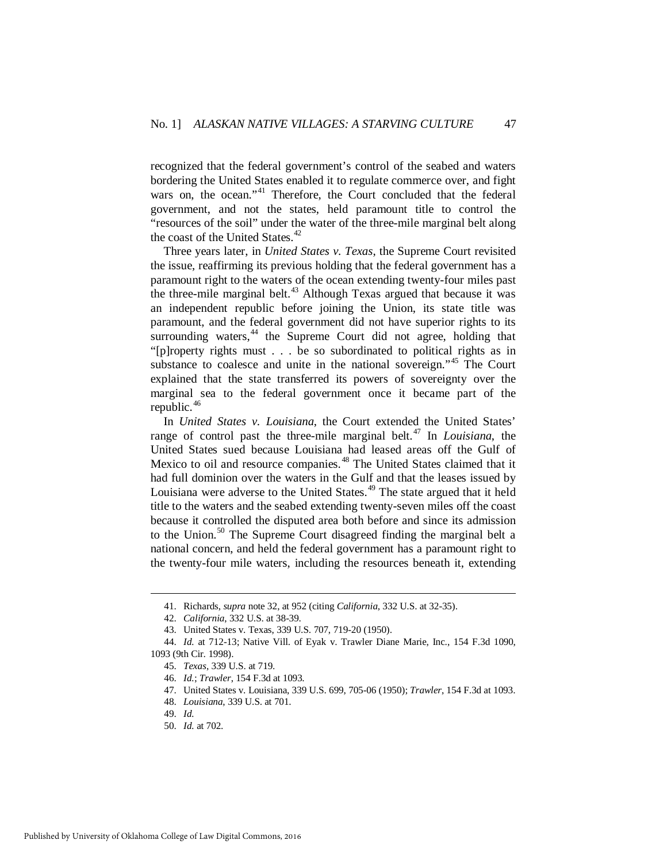recognized that the federal government's control of the seabed and waters bordering the United States enabled it to regulate commerce over, and fight wars on, the ocean."<sup>[41](#page-7-0)</sup> Therefore, the Court concluded that the federal government, and not the states, held paramount title to control the "resources of the soil" under the water of the three-mile marginal belt along the coast of the United States. $42$ 

Three years later, in *United States v. Texas*, the Supreme Court revisited the issue, reaffirming its previous holding that the federal government has a paramount right to the waters of the ocean extending twenty-four miles past the three-mile marginal belt. $43$  Although Texas argued that because it was an independent republic before joining the Union, its state title was paramount, and the federal government did not have superior rights to its surrounding waters, $44$  the Supreme Court did not agree, holding that "[p]roperty rights must . . . be so subordinated to political rights as in substance to coalesce and unite in the national sovereign."<sup>[45](#page-7-4)</sup> The Court explained that the state transferred its powers of sovereignty over the marginal sea to the federal government once it became part of the republic.<sup>[46](#page-7-5)</sup>

In *United States v. Louisiana*, the Court extended the United States' range of control past the three-mile marginal belt.<sup>[47](#page-7-6)</sup> In *Louisiana*, the United States sued because Louisiana had leased areas off the Gulf of Mexico to oil and resource companies.<sup>[48](#page-7-7)</sup> The United States claimed that it had full dominion over the waters in the Gulf and that the leases issued by Louisiana were adverse to the United States.<sup>[49](#page-7-8)</sup> The state argued that it held title to the waters and the seabed extending twenty-seven miles off the coast because it controlled the disputed area both before and since its admission to the Union.[50](#page-7-9) The Supreme Court disagreed finding the marginal belt a national concern, and held the federal government has a paramount right to the twenty-four mile waters, including the resources beneath it, extending

 <sup>41.</sup> Richards, *supra* note 32, at 952 (citing *California*, 332 U.S. at 32-35).

 <sup>42.</sup> *California*, 332 U.S. at 38-39.

 <sup>43.</sup> United States v. Texas, 339 U.S. 707, 719-20 (1950).

<span id="page-7-7"></span><span id="page-7-6"></span><span id="page-7-5"></span><span id="page-7-4"></span><span id="page-7-3"></span><span id="page-7-2"></span><span id="page-7-1"></span><span id="page-7-0"></span> <sup>44.</sup> *Id.* at 712-13; Native Vill. of Eyak v. Trawler Diane Marie, Inc., 154 F.3d 1090, 1093 (9th Cir. 1998).

 <sup>45.</sup> *Texas*, 339 U.S. at 719.

 <sup>46.</sup> *Id.*; *Trawler*, 154 F.3d at 1093.

 <sup>47.</sup> United States v. Louisiana, 339 U.S. 699, 705-06 (1950); *Trawler*, 154 F.3d at 1093.

 <sup>48.</sup> *Louisiana*, 339 U.S. at 701.

<span id="page-7-8"></span> <sup>49.</sup> *Id.*

<span id="page-7-9"></span> <sup>50.</sup> *Id.* at 702.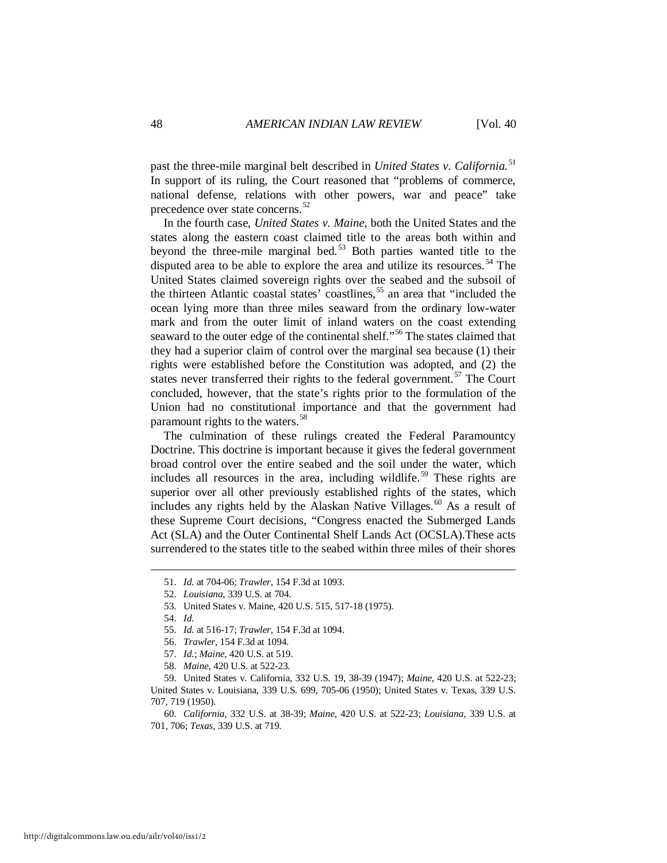past the three-mile marginal belt described in *United States v. California*. [51](#page-8-0) In support of its ruling, the Court reasoned that "problems of commerce, national defense, relations with other powers, war and peace" take precedence over state concerns.<sup>[52](#page-8-1)</sup>

In the fourth case, *United States v. Maine*, both the United States and the states along the eastern coast claimed title to the areas both within and beyond the three-mile marginal bed.<sup>[53](#page-8-2)</sup> Both parties wanted title to the disputed area to be able to explore the area and utilize its resources.<sup>[54](#page-8-3)</sup> The United States claimed sovereign rights over the seabed and the subsoil of the thirteen Atlantic coastal states' coastlines,<sup>[55](#page-8-4)</sup> an area that "included the ocean lying more than three miles seaward from the ordinary low-water mark and from the outer limit of inland waters on the coast extending seaward to the outer edge of the continental shelf."<sup>[56](#page-8-5)</sup> The states claimed that they had a superior claim of control over the marginal sea because (1) their rights were established before the Constitution was adopted, and (2) the states never transferred their rights to the federal government.<sup>[57](#page-8-6)</sup> The Court concluded, however, that the state's rights prior to the formulation of the Union had no constitutional importance and that the government had paramount rights to the waters.<sup>[58](#page-8-7)</sup>

The culmination of these rulings created the Federal Paramountcy Doctrine. This doctrine is important because it gives the federal government broad control over the entire seabed and the soil under the water, which includes all resources in the area, including wildlife.<sup>[59](#page-8-8)</sup> These rights are superior over all other previously established rights of the states, which includes any rights held by the Alaskan Native Villages.  $\frac{60}{3}$  $\frac{60}{3}$  $\frac{60}{3}$  As a result of these Supreme Court decisions, "Congress enacted the Submerged Lands Act (SLA) and the Outer Continental Shelf Lands Act (OCSLA).These acts surrendered to the states title to the seabed within three miles of their shores

- 55. *Id.* at 516-17; *Trawler*, 154 F.3d at 1094.
- <span id="page-8-3"></span>56. *Trawler*, 154 F.3d at 1094.
- 57. *Id.*; *Maine*, 420 U.S. at 519.
- 58. *Maine*, 420 U.S. at 522-23.

<span id="page-8-1"></span><span id="page-8-0"></span> <sup>51.</sup> *Id.* at 704-06; *Trawler*, 154 F.3d at 1093.

<span id="page-8-2"></span> <sup>52.</sup> *Louisiana*, 339 U.S. at 704.

 <sup>53.</sup> United States v. Maine, 420 U.S. 515, 517-18 (1975).

 <sup>54.</sup> *Id.*

 <sup>59.</sup> United States v. California, 332 U.S. 19, 38-39 (1947); *Maine*, 420 U.S. at 522-23;

<span id="page-8-9"></span><span id="page-8-8"></span><span id="page-8-7"></span><span id="page-8-6"></span><span id="page-8-5"></span><span id="page-8-4"></span>United States v. Louisiana, 339 U.S. 699, 705-06 (1950); United States v. Texas, 339 U.S. 707, 719 (1950).

 <sup>60.</sup> *California*, 332 U.S. at 38-39; *Maine*, 420 U.S. at 522-23; *Louisiana*, 339 U.S. at 701, 706; *Texas*, 339 U.S. at 719.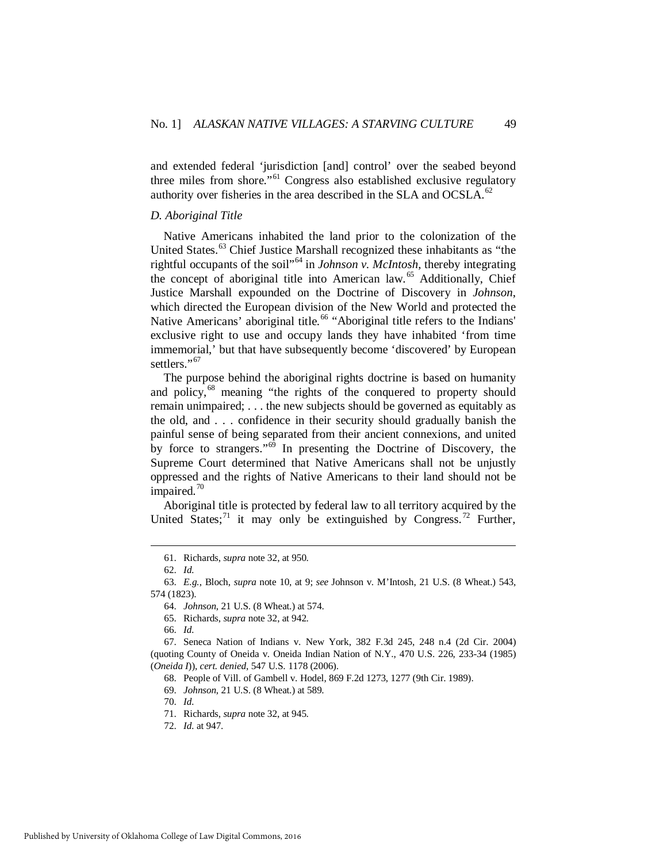and extended federal 'jurisdiction [and] control' over the seabed beyond three miles from shore."<sup>[61](#page-9-0)</sup> Congress also established exclusive regulatory authority over fisheries in the area described in the SLA and OCSLA.<sup>[62](#page-9-1)</sup>

#### *D. Aboriginal Title*

Native Americans inhabited the land prior to the colonization of the United States.<sup>[63](#page-9-2)</sup> Chief Justice Marshall recognized these inhabitants as "the rightful occupants of the soil"[64](#page-9-3) in *Johnson v. McIntosh*, thereby integrating the concept of aboriginal title into American law.<sup>[65](#page-9-4)</sup> Additionally, Chief Justice Marshall expounded on the Doctrine of Discovery in *Johnson*, which directed the European division of the New World and protected the Native Americans' aboriginal title.<sup>[66](#page-9-5)</sup> "Aboriginal title refers to the Indians' exclusive right to use and occupy lands they have inhabited 'from time immemorial,' but that have subsequently become 'discovered' by European settlers."<sup>[67](#page-9-6)</sup>

The purpose behind the aboriginal rights doctrine is based on humanity and policy,<sup>[68](#page-9-7)</sup> meaning "the rights of the conquered to property should remain unimpaired; . . . the new subjects should be governed as equitably as the old, and . . . confidence in their security should gradually banish the painful sense of being separated from their ancient connexions, and united by force to strangers."<sup>[69](#page-9-8)</sup> In presenting the Doctrine of Discovery, the Supreme Court determined that Native Americans shall not be unjustly oppressed and the rights of Native Americans to their land should not be impaired. $70$ 

Aboriginal title is protected by federal law to all territory acquired by the United States;<sup>[71](#page-9-10)</sup> it may only be extinguished by Congress.<sup>[72](#page-9-11)</sup> Further,

<u>.</u>

66. *Id.*

70. *Id.*

 <sup>61.</sup> Richards, *supra* note 32, at 950.

 <sup>62.</sup> *Id.*

<span id="page-9-3"></span><span id="page-9-2"></span><span id="page-9-1"></span><span id="page-9-0"></span> <sup>63.</sup> *E.g.*, Bloch, *supra* note 10, at 9; *see* Johnson v. M'Intosh, 21 U.S. (8 Wheat.) 543, 574 (1823).

 <sup>64.</sup> *Johnson*, 21 U.S. (8 Wheat.) at 574.

 <sup>65.</sup> Richards, *supra* note 32, at 942.

<span id="page-9-9"></span><span id="page-9-8"></span><span id="page-9-7"></span><span id="page-9-6"></span><span id="page-9-5"></span><span id="page-9-4"></span> <sup>67.</sup> Seneca Nation of Indians v. New York, 382 F.3d 245, 248 n.4 (2d Cir. 2004) (quoting County of Oneida v. Oneida Indian Nation of N.Y., 470 U.S. 226, 233-34 (1985) (*Oneida I*)), *cert. denied*, 547 U.S. 1178 (2006).

 <sup>68.</sup> People of Vill. of Gambell v. Hodel, 869 F.2d 1273, 1277 (9th Cir. 1989).

 <sup>69.</sup> *Johnson*, 21 U.S. (8 Wheat.) at 589.

 <sup>71.</sup> Richards, *supra* note 32, at 945.

<span id="page-9-11"></span><span id="page-9-10"></span> <sup>72.</sup> *Id.* at 947.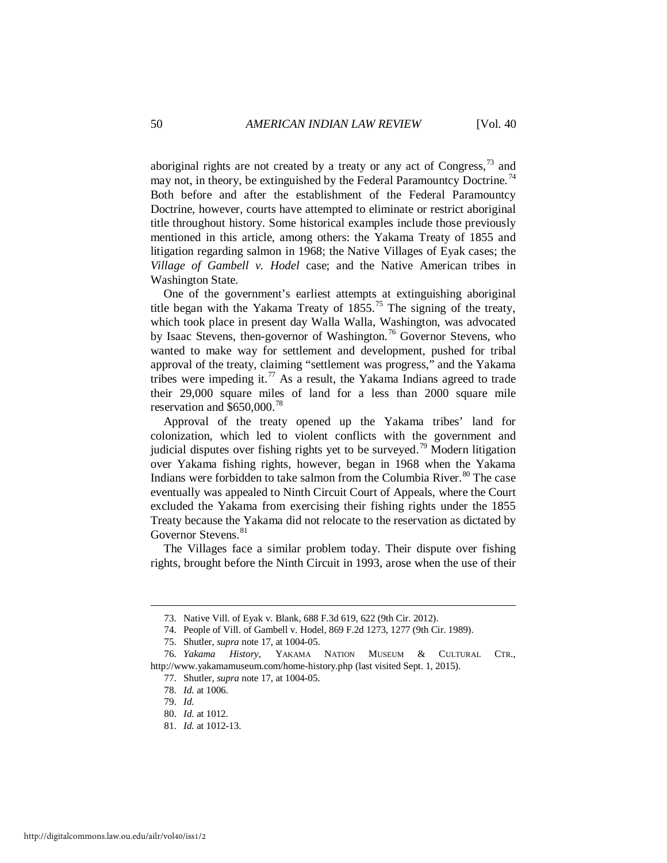aboriginal rights are not created by a treaty or any act of Congress,  $^{73}$  and may not, in theory, be extinguished by the Federal Paramountcy Doctrine.<sup>[74](#page-10-1)</sup> Both before and after the establishment of the Federal Paramountcy Doctrine, however, courts have attempted to eliminate or restrict aboriginal title throughout history. Some historical examples include those previously mentioned in this article, among others: the Yakama Treaty of 1855 and litigation regarding salmon in 1968; the Native Villages of Eyak cases; the *Village of Gambell v. Hodel* case; and the Native American tribes in Washington State.

One of the government's earliest attempts at extinguishing aboriginal title began with the Yakama Treaty of  $1855$ .<sup>[75](#page-10-2)</sup> The signing of the treaty, which took place in present day Walla Walla, Washington, was advocated by Isaac Stevens, then-governor of Washington.<sup>[76](#page-10-3)</sup> Governor Stevens, who wanted to make way for settlement and development, pushed for tribal approval of the treaty, claiming "settlement was progress," and the Yakama tribes were impeding it.<sup>[77](#page-10-4)</sup> As a result, the Yakama Indians agreed to trade their 29,000 square miles of land for a less than 2000 square mile reservation and \$650,000.[78](#page-10-5)

Approval of the treaty opened up the Yakama tribes' land for colonization, which led to violent conflicts with the government and judicial disputes over fishing rights yet to be surveyed.<sup>[79](#page-10-6)</sup> Modern litigation over Yakama fishing rights, however, began in 1968 when the Yakama Indians were forbidden to take salmon from the Columbia River.<sup>[80](#page-10-7)</sup> The case eventually was appealed to Ninth Circuit Court of Appeals, where the Court excluded the Yakama from exercising their fishing rights under the 1855 Treaty because the Yakama did not relocate to the reservation as dictated by Governor Stevens.<sup>[81](#page-10-8)</sup>

The Villages face a similar problem today. Their dispute over fishing rights, brought before the Ninth Circuit in 1993, arose when the use of their

 <sup>73.</sup> Native Vill. of Eyak v. Blank, 688 F.3d 619, 622 (9th Cir. 2012).

 <sup>74.</sup> People of Vill. of Gambell v. Hodel, 869 F.2d 1273, 1277 (9th Cir. 1989).

 <sup>75.</sup> Shutler, *supra* note 17, at 1004-05.

<span id="page-10-7"></span><span id="page-10-6"></span><span id="page-10-5"></span><span id="page-10-4"></span><span id="page-10-3"></span><span id="page-10-2"></span><span id="page-10-1"></span><span id="page-10-0"></span> <sup>76.</sup> *Yakama History*, YAKAMA NATION MUSEUM & CULTURAL CTR., http://www.yakamamuseum.com/home-history.php (last visited Sept. 1, 2015).

 <sup>77.</sup> Shutler, *supra* note 17, at 1004-05.

 <sup>78.</sup> *Id.* at 1006.

 <sup>79.</sup> *Id.*

 <sup>80.</sup> *Id.* at 1012.

<span id="page-10-8"></span> <sup>81.</sup> *Id.* at 1012-13.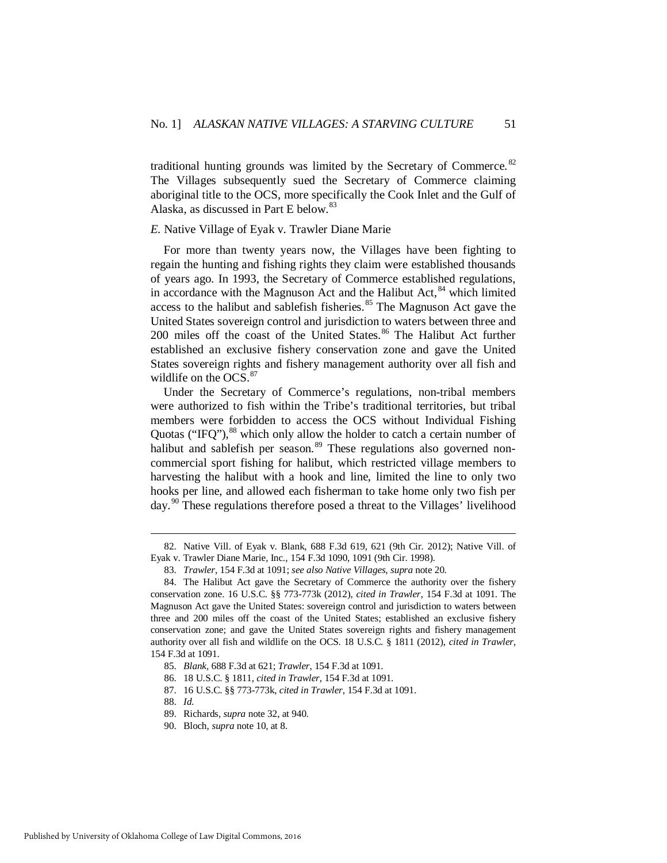traditional hunting grounds was limited by the Secretary of Commerce.<sup>[82](#page-11-0)</sup> The Villages subsequently sued the Secretary of Commerce claiming aboriginal title to the OCS, more specifically the Cook Inlet and the Gulf of Alaska, as discussed in Part E below. [83](#page-11-1)

#### *E.* Native Village of Eyak v. Trawler Diane Marie

For more than twenty years now, the Villages have been fighting to regain the hunting and fishing rights they claim were established thousands of years ago. In 1993, the Secretary of Commerce established regulations, in accordance with the Magnuson Act and the Halibut Act, <sup>[84](#page-11-2)</sup> which limited access to the halibut and sablefish fisheries.<sup>[85](#page-11-3)</sup> The Magnuson Act gave the United States sovereign control and jurisdiction to waters between three and 200 miles off the coast of the United States.<sup>[86](#page-11-4)</sup> The Halibut Act further established an exclusive fishery conservation zone and gave the United States sovereign rights and fishery management authority over all fish and wildlife on the OCS.<sup>[87](#page-11-5)</sup>

Under the Secretary of Commerce's regulations, non-tribal members were authorized to fish within the Tribe's traditional territories, but tribal members were forbidden to access the OCS without Individual Fishing Quotas ("IFQ"), $^{88}$  $^{88}$  $^{88}$  which only allow the holder to catch a certain number of halibut and sablefish per season.<sup>[89](#page-11-7)</sup> These regulations also governed noncommercial sport fishing for halibut, which restricted village members to harvesting the halibut with a hook and line, limited the line to only two hooks per line, and allowed each fisherman to take home only two fish per day.<sup>[90](#page-11-8)</sup> These regulations therefore posed a threat to the Villages' livelihood

<span id="page-11-0"></span> <sup>82.</sup> Native Vill. of Eyak v. Blank, 688 F.3d 619, 621 (9th Cir. 2012); Native Vill. of Eyak v. Trawler Diane Marie, Inc., 154 F.3d 1090, 1091 (9th Cir. 1998).

 <sup>83.</sup> *Trawler*, 154 F.3d at 1091; *see also Native Villages*, *supra* note 20.

<span id="page-11-2"></span><span id="page-11-1"></span> <sup>84.</sup> The Halibut Act gave the Secretary of Commerce the authority over the fishery conservation zone. 16 U.S.C. §§ 773-773k (2012), *cited in Trawler*, 154 F.3d at 1091. The Magnuson Act gave the United States: sovereign control and jurisdiction to waters between three and 200 miles off the coast of the United States; established an exclusive fishery conservation zone; and gave the United States sovereign rights and fishery management authority over all fish and wildlife on the OCS. 18 U.S.C. § 1811 (2012), *cited in Trawler*, 154 F.3d at 1091.

<span id="page-11-5"></span><span id="page-11-4"></span><span id="page-11-3"></span> <sup>85.</sup> *Blank*, 688 F.3d at 621; *Trawler*, 154 F.3d at 1091.

 <sup>86. 18</sup> U.S.C. § 1811, *cited in Trawler*, 154 F.3d at 1091.

 <sup>87. 16</sup> U.S.C. §§ 773-773k, *cited in Trawler*, 154 F.3d at 1091.

<span id="page-11-6"></span> <sup>88.</sup> *Id.*

 <sup>89.</sup> Richards, *supra* note 32, at 940.

<span id="page-11-8"></span><span id="page-11-7"></span> <sup>90.</sup> Bloch, *supra* note 10, at 8.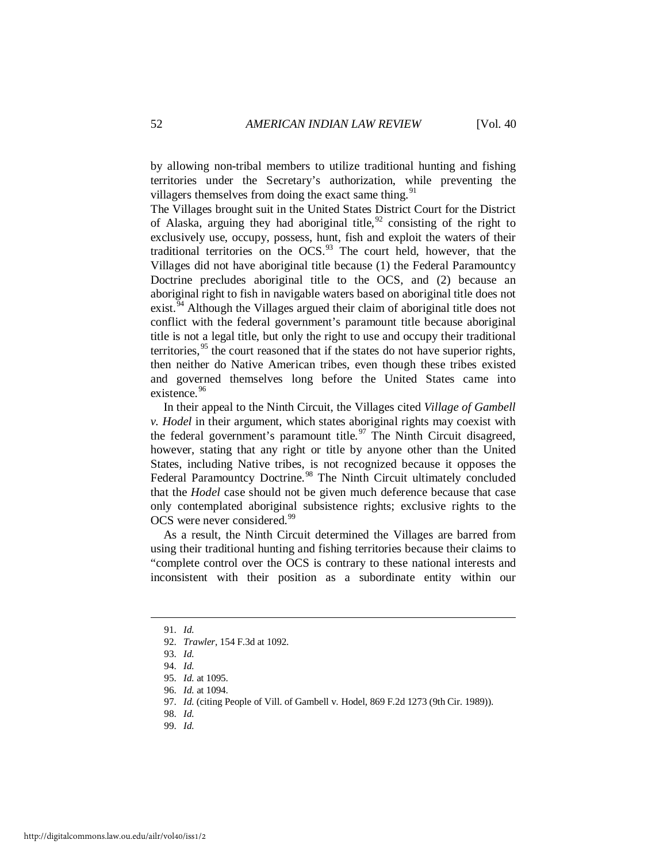by allowing non-tribal members to utilize traditional hunting and fishing territories under the Secretary's authorization, while preventing the villagers themselves from doing the exact same thing.  $91$ 

The Villages brought suit in the United States District Court for the District of Alaska, arguing they had aboriginal title,  $92$  consisting of the right to exclusively use, occupy, possess, hunt, fish and exploit the waters of their traditional territories on the  $OCS$ .<sup>[93](#page-12-2)</sup> The court held, however, that the Villages did not have aboriginal title because (1) the Federal Paramountcy Doctrine precludes aboriginal title to the OCS, and (2) because an aboriginal right to fish in navigable waters based on aboriginal title does not exist.<sup> $54$ </sup> Although the Villages argued their claim of aboriginal title does not conflict with the federal government's paramount title because aboriginal title is not a legal title, but only the right to use and occupy their traditional territories,  $95$  the court reasoned that if the states do not have superior rights, then neither do Native American tribes, even though these tribes existed and governed themselves long before the United States came into existence.<sup>[96](#page-12-5)</sup>

In their appeal to the Ninth Circuit, the Villages cited *Village of Gambell v. Hodel* in their argument, which states aboriginal rights may coexist with the federal government's paramount title.<sup>[97](#page-12-6)</sup> The Ninth Circuit disagreed, however, stating that any right or title by anyone other than the United States, including Native tribes, is not recognized because it opposes the Federal Paramountcy Doctrine.<sup>[98](#page-12-7)</sup> The Ninth Circuit ultimately concluded that the *Hodel* case should not be given much deference because that case only contemplated aboriginal subsistence rights; exclusive rights to the OCS were never considered.<sup>[99](#page-12-8)</sup>

As a result, the Ninth Circuit determined the Villages are barred from using their traditional hunting and fishing territories because their claims to "complete control over the OCS is contrary to these national interests and inconsistent with their position as a subordinate entity within our

<span id="page-12-4"></span><span id="page-12-3"></span><span id="page-12-2"></span><span id="page-12-1"></span><span id="page-12-0"></span><u>.</u>

<span id="page-12-8"></span>99. *Id.*

 <sup>91.</sup> *Id.*

 <sup>92.</sup> *Trawler*, 154 F.3d at 1092.

 <sup>93.</sup> *Id.*

 <sup>94.</sup> *Id.*

 <sup>95.</sup> *Id.* at 1095.

<span id="page-12-5"></span> <sup>96.</sup> *Id.* at 1094.

<span id="page-12-6"></span> <sup>97.</sup> *Id.* (citing People of Vill. of Gambell v. Hodel, 869 F.2d 1273 (9th Cir. 1989)).

<span id="page-12-7"></span> <sup>98.</sup> *Id.*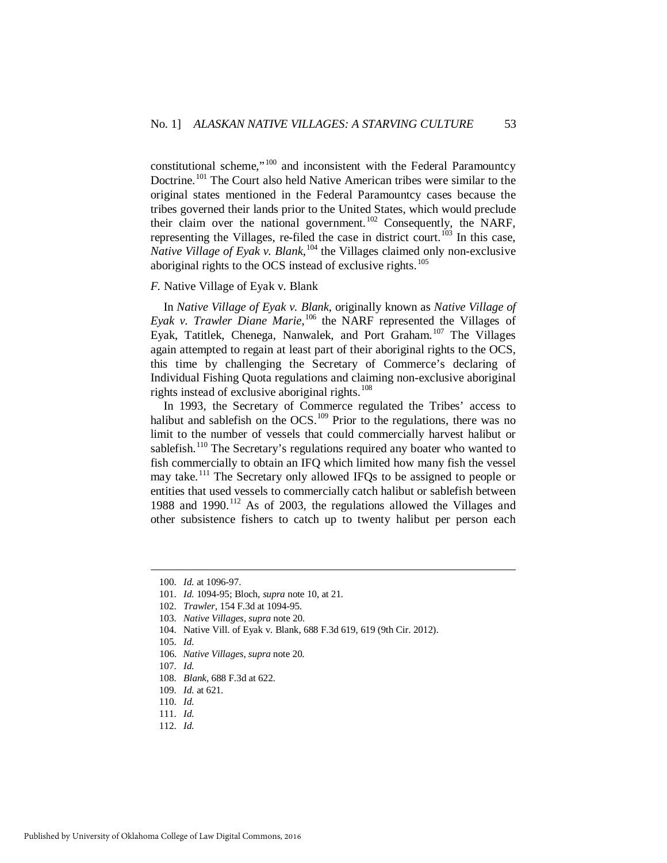constitutional scheme,"[100](#page-13-0) and inconsistent with the Federal Paramountcy Doctrine.<sup>[101](#page-13-1)</sup> The Court also held Native American tribes were similar to the original states mentioned in the Federal Paramountcy cases because the tribes governed their lands prior to the United States, which would preclude their claim over the national government.<sup>[102](#page-13-2)</sup> Consequently, the NARF, representing the Villages, re-filed the case in district court.<sup>[103](#page-13-3)</sup> In this case, *Native Village of Eyak v. Blank*, <sup>[104](#page-13-4)</sup> the Villages claimed only non-exclusive aboriginal rights to the OCS instead of exclusive rights.<sup>[105](#page-13-5)</sup>

#### *F.* Native Village of Eyak v. Blank

In *Native Village of Eyak v. Blank*, originally known as *Native Village of Eyak v. Trawler Diane Marie*, [106](#page-13-6) the NARF represented the Villages of Eyak, Tatitlek, Chenega, Nanwalek, and Port Graham.<sup>[107](#page-13-7)</sup> The Villages again attempted to regain at least part of their aboriginal rights to the OCS, this time by challenging the Secretary of Commerce's declaring of Individual Fishing Quota regulations and claiming non-exclusive aboriginal rights instead of exclusive aboriginal rights. $108$ 

In 1993, the Secretary of Commerce regulated the Tribes' access to halibut and sablefish on the OCS.<sup>[109](#page-13-9)</sup> Prior to the regulations, there was no limit to the number of vessels that could commercially harvest halibut or sablefish.<sup>[110](#page-13-10)</sup> The Secretary's regulations required any boater who wanted to fish commercially to obtain an IFQ which limited how many fish the vessel may take.[111](#page-13-11) The Secretary only allowed IFQs to be assigned to people or entities that used vessels to commercially catch halibut or sablefish between 1988 and 1990.<sup>[112](#page-13-12)</sup> As of 2003, the regulations allowed the Villages and other subsistence fishers to catch up to twenty halibut per person each

<span id="page-13-3"></span><span id="page-13-2"></span><span id="page-13-1"></span><span id="page-13-0"></span><u>.</u>

<span id="page-13-12"></span><span id="page-13-11"></span>112. *Id.*

 <sup>100.</sup> *Id.* at 1096-97.

 <sup>101.</sup> *Id.* 1094-95; Bloch, *supra* note 10, at 21.

 <sup>102.</sup> *Trawler*, 154 F.3d at 1094-95.

 <sup>103.</sup> *Native Villages*, *supra* note 20.

<span id="page-13-5"></span><span id="page-13-4"></span> <sup>104.</sup> Native Vill. of Eyak v. Blank, 688 F.3d 619, 619 (9th Cir. 2012).

 <sup>105.</sup> *Id.* 

<span id="page-13-6"></span> <sup>106.</sup> *Native Villages*, *supra* note 20.

<span id="page-13-7"></span> <sup>107.</sup> *Id.*

<span id="page-13-8"></span> <sup>108.</sup> *Blank*, 688 F.3d at 622.

<span id="page-13-9"></span> <sup>109.</sup> *Id.* at 621.

<span id="page-13-10"></span> <sup>110.</sup> *Id.*

 <sup>111.</sup> *Id.*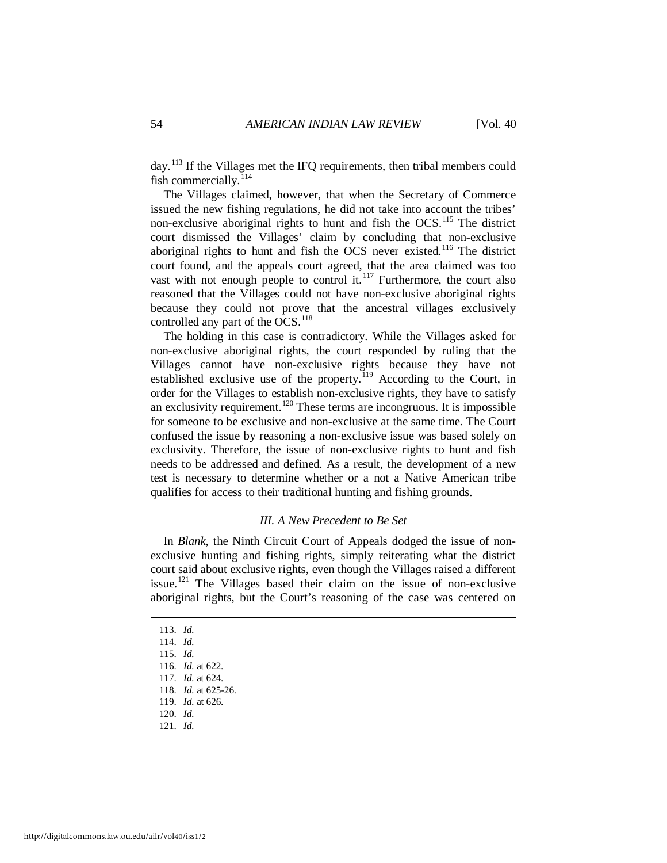day.<sup>[113](#page-14-0)</sup> If the Villages met the IFQ requirements, then tribal members could fish commercially.<sup>[114](#page-14-1)</sup>

The Villages claimed, however, that when the Secretary of Commerce issued the new fishing regulations, he did not take into account the tribes' non-exclusive aboriginal rights to hunt and fish the  $OCS$ <sup>[115](#page-14-2)</sup>. The district court dismissed the Villages' claim by concluding that non-exclusive aboriginal rights to hunt and fish the OCS never existed.<sup>[116](#page-14-3)</sup> The district court found, and the appeals court agreed, that the area claimed was too vast with not enough people to control it. $117$  Furthermore, the court also reasoned that the Villages could not have non-exclusive aboriginal rights because they could not prove that the ancestral villages exclusively controlled any part of the OCS.<sup>[118](#page-14-5)</sup>

The holding in this case is contradictory. While the Villages asked for non-exclusive aboriginal rights, the court responded by ruling that the Villages cannot have non-exclusive rights because they have not established exclusive use of the property.<sup>[119](#page-14-6)</sup> According to the Court, in order for the Villages to establish non-exclusive rights, they have to satisfy an exclusivity requirement.<sup>[120](#page-14-7)</sup> These terms are incongruous. It is impossible for someone to be exclusive and non-exclusive at the same time. The Court confused the issue by reasoning a non-exclusive issue was based solely on exclusivity. Therefore, the issue of non-exclusive rights to hunt and fish needs to be addressed and defined. As a result, the development of a new test is necessary to determine whether or a not a Native American tribe qualifies for access to their traditional hunting and fishing grounds.

#### *III. A New Precedent to Be Set*

In *Blank*, the Ninth Circuit Court of Appeals dodged the issue of nonexclusive hunting and fishing rights, simply reiterating what the district court said about exclusive rights, even though the Villages raised a different issue.[121](#page-14-8) The Villages based their claim on the issue of non-exclusive aboriginal rights, but the Court's reasoning of the case was centered on

<span id="page-14-0"></span>113. *Id.*

<span id="page-14-1"></span> <sup>114.</sup> *Id.*

<span id="page-14-2"></span> <sup>115.</sup> *Id.*

<span id="page-14-3"></span> <sup>116.</sup> *Id.* at 622.

<span id="page-14-4"></span> <sup>117.</sup> *Id.* at 624.

 <sup>118.</sup> *Id.* at 625-26.

<span id="page-14-6"></span><span id="page-14-5"></span> <sup>119.</sup> *Id.* at 626.

 <sup>120.</sup> *Id.*

<span id="page-14-8"></span><span id="page-14-7"></span> <sup>121.</sup> *Id.*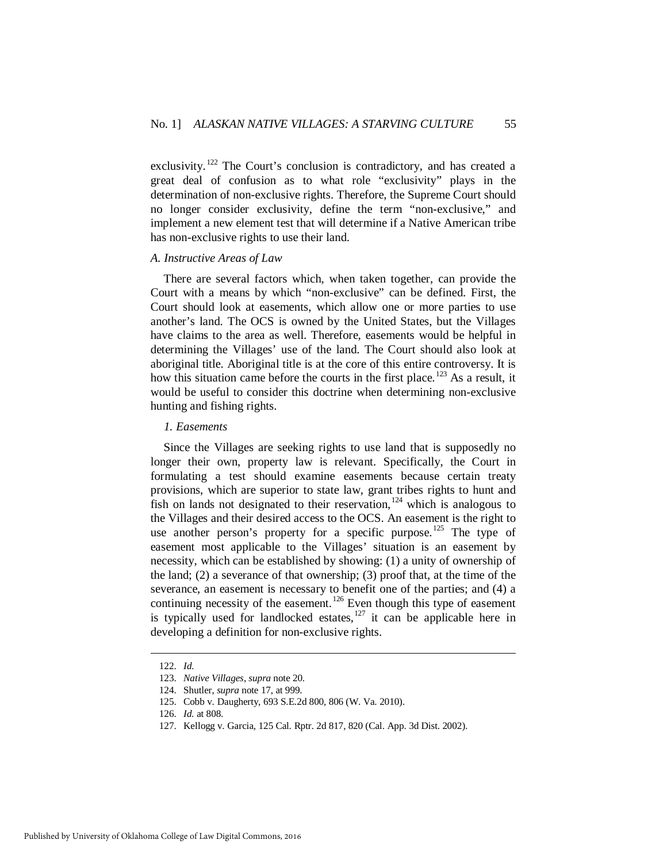exclusivity.<sup>[122](#page-15-0)</sup> The Court's conclusion is contradictory, and has created a great deal of confusion as to what role "exclusivity" plays in the determination of non-exclusive rights. Therefore, the Supreme Court should no longer consider exclusivity, define the term "non-exclusive," and implement a new element test that will determine if a Native American tribe has non-exclusive rights to use their land.

#### *A. Instructive Areas of Law*

There are several factors which, when taken together, can provide the Court with a means by which "non-exclusive" can be defined. First, the Court should look at easements, which allow one or more parties to use another's land. The OCS is owned by the United States, but the Villages have claims to the area as well. Therefore, easements would be helpful in determining the Villages' use of the land. The Court should also look at aboriginal title. Aboriginal title is at the core of this entire controversy. It is how this situation came before the courts in the first place.<sup>[123](#page-15-1)</sup> As a result, it would be useful to consider this doctrine when determining non-exclusive hunting and fishing rights.

# *1. Easements*

Since the Villages are seeking rights to use land that is supposedly no longer their own, property law is relevant. Specifically, the Court in formulating a test should examine easements because certain treaty provisions, which are superior to state law, grant tribes rights to hunt and fish on lands not designated to their reservation,  $124$  which is analogous to the Villages and their desired access to the OCS. An easement is the right to use another person's property for a specific purpose.<sup>[125](#page-15-3)</sup> The type of easement most applicable to the Villages' situation is an easement by necessity, which can be established by showing: (1) a unity of ownership of the land; (2) a severance of that ownership; (3) proof that, at the time of the severance, an easement is necessary to benefit one of the parties; and (4) a continuing necessity of the easement.<sup>[126](#page-15-4)</sup> Even though this type of easement is typically used for landlocked estates,<sup>[127](#page-15-5)</sup> it can be applicable here in developing a definition for non-exclusive rights.

<span id="page-15-0"></span> <sup>122.</sup> *Id.*

<span id="page-15-1"></span> <sup>123.</sup> *Native Villages*, *supra* note 20.

<span id="page-15-2"></span> <sup>124.</sup> Shutler, *supra* note 17, at 999.

<span id="page-15-3"></span> <sup>125.</sup> Cobb v. Daugherty, 693 S.E.2d 800, 806 (W. Va. 2010).

<span id="page-15-4"></span> <sup>126.</sup> *Id.* at 808.

<span id="page-15-5"></span> <sup>127.</sup> Kellogg v. Garcia, 125 Cal. Rptr. 2d 817, 820 (Cal. App. 3d Dist. 2002).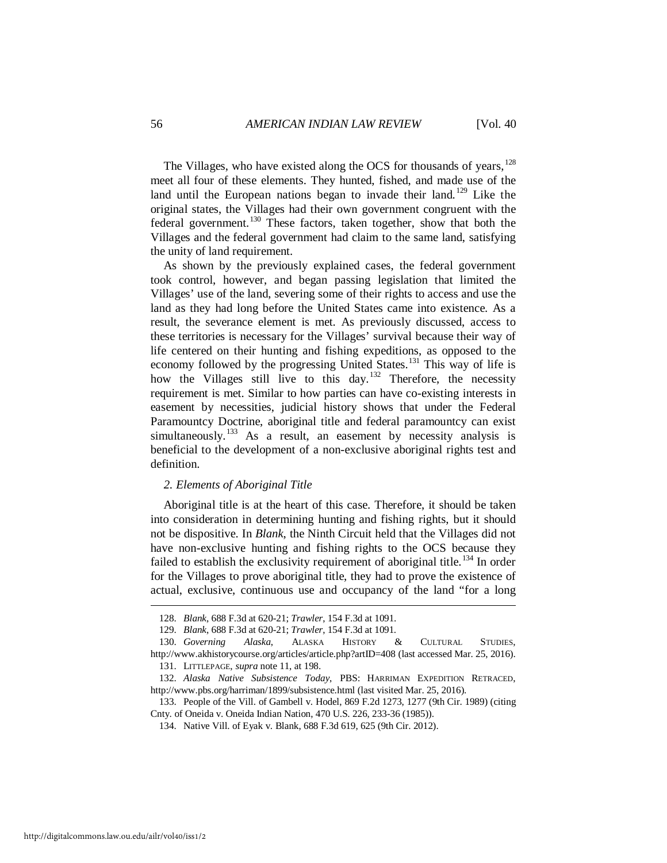The Villages, who have existed along the OCS for thousands of years,  $^{128}$  $^{128}$  $^{128}$ meet all four of these elements. They hunted, fished, and made use of the land until the European nations began to invade their land.<sup>[129](#page-16-1)</sup> Like the original states, the Villages had their own government congruent with the federal government.<sup>[130](#page-16-2)</sup> These factors, taken together, show that both the Villages and the federal government had claim to the same land, satisfying the unity of land requirement.

As shown by the previously explained cases, the federal government took control, however, and began passing legislation that limited the Villages' use of the land, severing some of their rights to access and use the land as they had long before the United States came into existence. As a result, the severance element is met. As previously discussed, access to these territories is necessary for the Villages' survival because their way of life centered on their hunting and fishing expeditions, as opposed to the economy followed by the progressing United States.<sup>[131](#page-16-3)</sup> This way of life is how the Villages still live to this day.<sup>[132](#page-16-4)</sup> Therefore, the necessity requirement is met. Similar to how parties can have co-existing interests in easement by necessities, judicial history shows that under the Federal Paramountcy Doctrine, aboriginal title and federal paramountcy can exist simultaneously.<sup>[133](#page-16-5)</sup> As a result, an easement by necessity analysis is beneficial to the development of a non-exclusive aboriginal rights test and definition.

# *2. Elements of Aboriginal Title*

Aboriginal title is at the heart of this case. Therefore, it should be taken into consideration in determining hunting and fishing rights, but it should not be dispositive. In *Blank*, the Ninth Circuit held that the Villages did not have non-exclusive hunting and fishing rights to the OCS because they failed to establish the exclusivity requirement of aboriginal title.<sup>[134](#page-16-6)</sup> In order for the Villages to prove aboriginal title, they had to prove the existence of actual, exclusive, continuous use and occupancy of the land "for a long

 <sup>128.</sup> *Blank*, 688 F.3d at 620-21; *Trawler*, 154 F.3d at 1091.

 <sup>129.</sup> *Blank*, 688 F.3d at 620-21; *Trawler*, 154 F.3d at 1091.

<span id="page-16-3"></span><span id="page-16-2"></span><span id="page-16-1"></span><span id="page-16-0"></span> <sup>130.</sup> *Governing Alaska*, ALASKA HISTORY & CULTURAL STUDIES, http://www.akhistorycourse.org/articles/article.php?artID=408 (last accessed Mar. 25, 2016).

 <sup>131.</sup> LITTLEPAGE, *supra* note 11, at 198.

<span id="page-16-4"></span> <sup>132.</sup> *Alaska Native Subsistence Today*, PBS: HARRIMAN EXPEDITION RETRACED, http://www.pbs.org/harriman/1899/subsistence.html (last visited Mar. 25, 2016).

<span id="page-16-6"></span><span id="page-16-5"></span> <sup>133.</sup> People of the Vill. of Gambell v. Hodel, 869 F.2d 1273, 1277 (9th Cir. 1989) (citing Cnty. of Oneida v. Oneida Indian Nation, 470 U.S. 226, 233-36 (1985)).

 <sup>134.</sup> Native Vill. of Eyak v. Blank, 688 F.3d 619, 625 (9th Cir. 2012).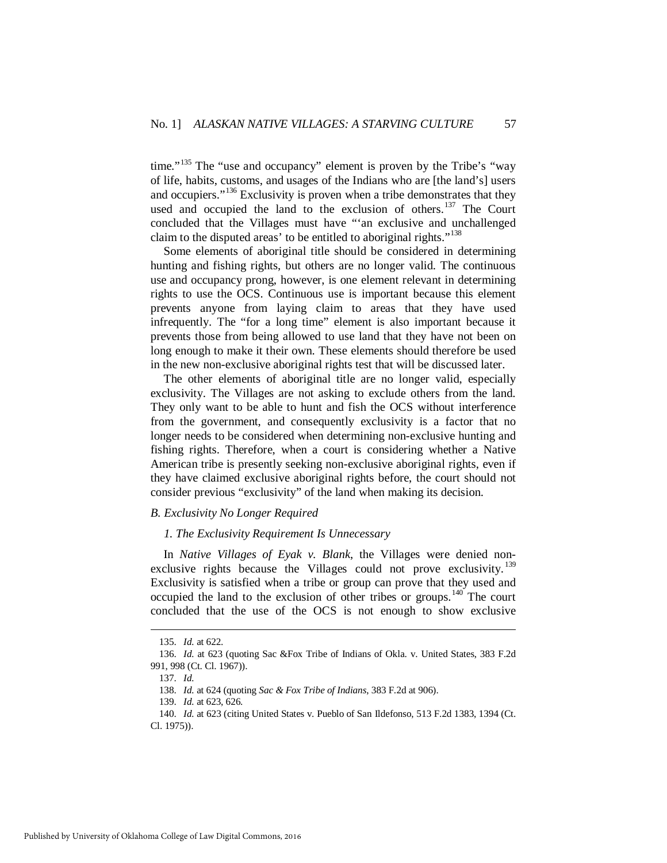time."<sup>[135](#page-17-0)</sup> The "use and occupancy" element is proven by the Tribe's "way of life, habits, customs, and usages of the Indians who are [the land's] users and occupiers."[136](#page-17-1) Exclusivity is proven when a tribe demonstrates that they used and occupied the land to the exclusion of others.<sup>[137](#page-17-2)</sup> The Court concluded that the Villages must have "'an exclusive and unchallenged claim to the disputed areas' to be entitled to aboriginal rights."<sup>[138](#page-17-3)</sup>

Some elements of aboriginal title should be considered in determining hunting and fishing rights, but others are no longer valid. The continuous use and occupancy prong, however, is one element relevant in determining rights to use the OCS. Continuous use is important because this element prevents anyone from laying claim to areas that they have used infrequently. The "for a long time" element is also important because it prevents those from being allowed to use land that they have not been on long enough to make it their own. These elements should therefore be used in the new non-exclusive aboriginal rights test that will be discussed later.

The other elements of aboriginal title are no longer valid, especially exclusivity. The Villages are not asking to exclude others from the land. They only want to be able to hunt and fish the OCS without interference from the government, and consequently exclusivity is a factor that no longer needs to be considered when determining non-exclusive hunting and fishing rights. Therefore, when a court is considering whether a Native American tribe is presently seeking non-exclusive aboriginal rights, even if they have claimed exclusive aboriginal rights before, the court should not consider previous "exclusivity" of the land when making its decision.

# *B. Exclusivity No Longer Required*

# *1. The Exclusivity Requirement Is Unnecessary*

In *Native Villages of Eyak v. Blank*, the Villages were denied non-exclusive rights because the Villages could not prove exclusivity.<sup>[139](#page-17-4)</sup> Exclusivity is satisfied when a tribe or group can prove that they used and occupied the land to the exclusion of other tribes or groups.[140](#page-17-5) The court concluded that the use of the OCS is not enough to show exclusive

 <sup>135.</sup> *Id.* at 622.

<span id="page-17-2"></span><span id="page-17-1"></span><span id="page-17-0"></span> <sup>136.</sup> *Id.* at 623 (quoting Sac &Fox Tribe of Indians of Okla. v. United States, 383 F.2d 991, 998 (Ct. Cl. 1967)).

 <sup>137.</sup> *Id.*

 <sup>138.</sup> *Id.* at 624 (quoting *Sac & Fox Tribe of Indians*, 383 F.2d at 906).

 <sup>139.</sup> *Id.* at 623, 626.

<span id="page-17-5"></span><span id="page-17-4"></span><span id="page-17-3"></span> <sup>140.</sup> *Id.* at 623 (citing United States v. Pueblo of San Ildefonso, 513 F.2d 1383, 1394 (Ct. Cl. 1975)).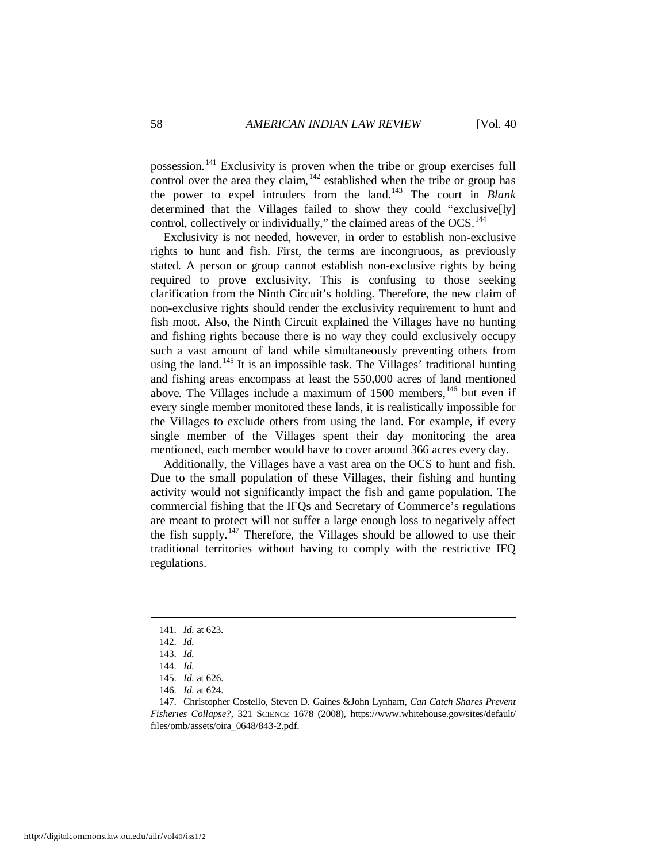possession.[141](#page-18-0) Exclusivity is proven when the tribe or group exercises full control over the area they claim,  $142$  established when the tribe or group has the power to expel intruders from the land.[143](#page-18-2) The court in *Blank* determined that the Villages failed to show they could "exclusive[ly] control, collectively or individually," the claimed areas of the  $OCS$ .<sup>[144](#page-18-3)</sup>

Exclusivity is not needed, however, in order to establish non-exclusive rights to hunt and fish. First, the terms are incongruous, as previously stated. A person or group cannot establish non-exclusive rights by being required to prove exclusivity. This is confusing to those seeking clarification from the Ninth Circuit's holding. Therefore, the new claim of non-exclusive rights should render the exclusivity requirement to hunt and fish moot. Also, the Ninth Circuit explained the Villages have no hunting and fishing rights because there is no way they could exclusively occupy such a vast amount of land while simultaneously preventing others from using the land.<sup>[145](#page-18-4)</sup> It is an impossible task. The Villages' traditional hunting and fishing areas encompass at least the 550,000 acres of land mentioned above. The Villages include a maximum of  $1500$  members,  $146$  but even if every single member monitored these lands, it is realistically impossible for the Villages to exclude others from using the land. For example, if every single member of the Villages spent their day monitoring the area mentioned, each member would have to cover around 366 acres every day.

Additionally, the Villages have a vast area on the OCS to hunt and fish. Due to the small population of these Villages, their fishing and hunting activity would not significantly impact the fish and game population. The commercial fishing that the IFQs and Secretary of Commerce's regulations are meant to protect will not suffer a large enough loss to negatively affect the fish supply.<sup>[147](#page-18-6)</sup> Therefore, the Villages should be allowed to use their traditional territories without having to comply with the restrictive IFQ regulations.

<span id="page-18-0"></span> <sup>141.</sup> *Id.* at 623.

<span id="page-18-1"></span> <sup>142.</sup> *Id.*

 <sup>143.</sup> *Id.*

 <sup>144.</sup> *Id.*

 <sup>145.</sup> *Id.* at 626.

 <sup>146.</sup> *Id.* at 624.

<span id="page-18-6"></span><span id="page-18-5"></span><span id="page-18-4"></span><span id="page-18-3"></span><span id="page-18-2"></span> <sup>147.</sup> Christopher Costello, Steven D. Gaines &John Lynham, *Can Catch Shares Prevent Fisheries Collapse?*, 321 SCIENCE 1678 (2008), https://www.whitehouse.gov/sites/default/ files/omb/assets/oira\_0648/843-2.pdf.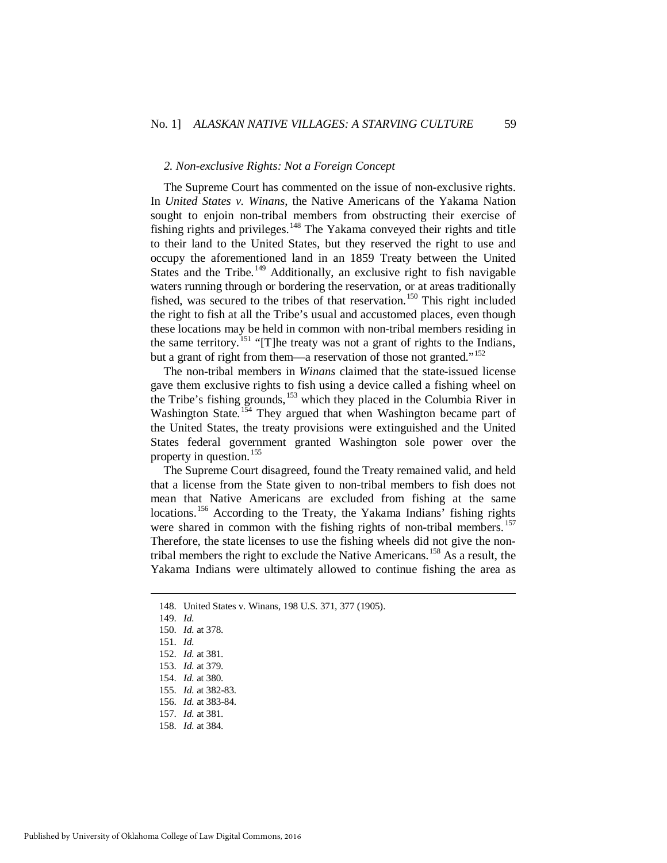#### *2. Non-exclusive Rights: Not a Foreign Concept*

The Supreme Court has commented on the issue of non-exclusive rights. In *United States v. Winans*, the Native Americans of the Yakama Nation sought to enjoin non-tribal members from obstructing their exercise of fishing rights and privileges.[148](#page-19-0) The Yakama conveyed their rights and title to their land to the United States, but they reserved the right to use and occupy the aforementioned land in an 1859 Treaty between the United States and the Tribe.<sup>[149](#page-19-1)</sup> Additionally, an exclusive right to fish navigable waters running through or bordering the reservation, or at areas traditionally fished, was secured to the tribes of that reservation.<sup>[150](#page-19-2)</sup> This right included the right to fish at all the Tribe's usual and accustomed places, even though these locations may be held in common with non-tribal members residing in the same territory.<sup>[151](#page-19-3)</sup> "[T]he treaty was not a grant of rights to the Indians, but a grant of right from them—a reservation of those not granted."<sup>[152](#page-19-4)</sup>

The non-tribal members in *Winans* claimed that the state-issued license gave them exclusive rights to fish using a device called a fishing wheel on the Tribe's fishing grounds,<sup>[153](#page-19-5)</sup> which they placed in the Columbia River in Washington State.<sup>[154](#page-19-6)</sup> They argued that when Washington became part of the United States, the treaty provisions were extinguished and the United States federal government granted Washington sole power over the property in question.<sup>[155](#page-19-7)</sup>

The Supreme Court disagreed, found the Treaty remained valid, and held that a license from the State given to non-tribal members to fish does not mean that Native Americans are excluded from fishing at the same locations.<sup>[156](#page-19-8)</sup> According to the Treaty, the Yakama Indians' fishing rights were shared in common with the fishing rights of non-tribal members.<sup>[157](#page-19-9)</sup> Therefore, the state licenses to use the fishing wheels did not give the non-tribal members the right to exclude the Native Americans.<sup>[158](#page-19-10)</sup> As a result, the Yakama Indians were ultimately allowed to continue fishing the area as

<span id="page-19-3"></span><span id="page-19-2"></span><span id="page-19-1"></span><span id="page-19-0"></span><u>.</u>

150. *Id.* at 378.

 <sup>148.</sup> United States v. Winans, 198 U.S. 371, 377 (1905).

 <sup>149.</sup> *Id.*

 <sup>151.</sup> *Id.*

<span id="page-19-4"></span> <sup>152.</sup> *Id.* at 381.

<span id="page-19-5"></span> <sup>153.</sup> *Id.* at 379.

<span id="page-19-6"></span> <sup>154.</sup> *Id.* at 380.

<span id="page-19-7"></span> <sup>155.</sup> *Id.* at 382-83.

 <sup>156.</sup> *Id.* at 383-84.

<span id="page-19-9"></span><span id="page-19-8"></span> <sup>157.</sup> *Id.* at 381.

<span id="page-19-10"></span> <sup>158.</sup> *Id.* at 384.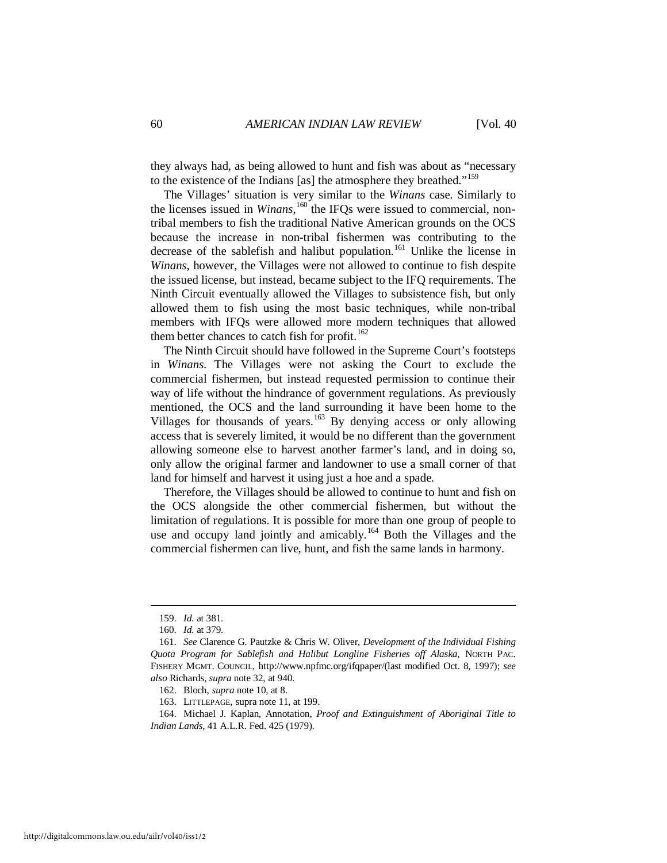they always had, as being allowed to hunt and fish was about as "necessary to the existence of the Indians [as] the atmosphere they breathed."[159](#page-20-0)

The Villages' situation is very similar to the *Winans* case. Similarly to the licenses issued in *Winans*, <sup>[160](#page-20-1)</sup> the IFQs were issued to commercial, nontribal members to fish the traditional Native American grounds on the OCS because the increase in non-tribal fishermen was contributing to the decrease of the sablefish and halibut population.<sup>[161](#page-20-2)</sup> Unlike the license in *Winans*, however, the Villages were not allowed to continue to fish despite the issued license, but instead, became subject to the IFQ requirements. The Ninth Circuit eventually allowed the Villages to subsistence fish, but only allowed them to fish using the most basic techniques, while non-tribal members with IFQs were allowed more modern techniques that allowed them better chances to catch fish for profit.<sup>[162](#page-20-3)</sup>

The Ninth Circuit should have followed in the Supreme Court's footsteps in *Winans*. The Villages were not asking the Court to exclude the commercial fishermen, but instead requested permission to continue their way of life without the hindrance of government regulations. As previously mentioned, the OCS and the land surrounding it have been home to the Villages for thousands of years.<sup>[163](#page-20-4)</sup> By denying access or only allowing access that is severely limited, it would be no different than the government allowing someone else to harvest another farmer's land, and in doing so, only allow the original farmer and landowner to use a small corner of that land for himself and harvest it using just a hoe and a spade.

Therefore, the Villages should be allowed to continue to hunt and fish on the OCS alongside the other commercial fishermen, but without the limitation of regulations. It is possible for more than one group of people to use and occupy land jointly and amicably.<sup>[164](#page-20-5)</sup> Both the Villages and the commercial fishermen can live, hunt, and fish the same lands in harmony.

 <sup>159.</sup> *Id.* at 381.

 <sup>160.</sup> *Id.* at 379.

<span id="page-20-2"></span><span id="page-20-1"></span><span id="page-20-0"></span> <sup>161.</sup> *See* Clarence G. Pautzke & Chris W. Oliver, *Development of the Individual Fishing Quota Program for Sablefish and Halibut Longline Fisheries off Alaska*, NORTH PAC. FISHERY MGMT. COUNCIL, http://www.npfmc.org/ifqpaper/(last modified Oct. 8, 1997); *see also* Richards, *supra* note 32, at 940.

 <sup>162.</sup> Bloch, *supra* note 10, at 8.

 <sup>163.</sup> LITTLEPAGE, supra note 11, at 199.

<span id="page-20-5"></span><span id="page-20-4"></span><span id="page-20-3"></span> <sup>164.</sup> Michael J. Kaplan, Annotation, *Proof and Extinguishment of Aboriginal Title to Indian Lands*, 41 A.L.R. Fed. 425 (1979).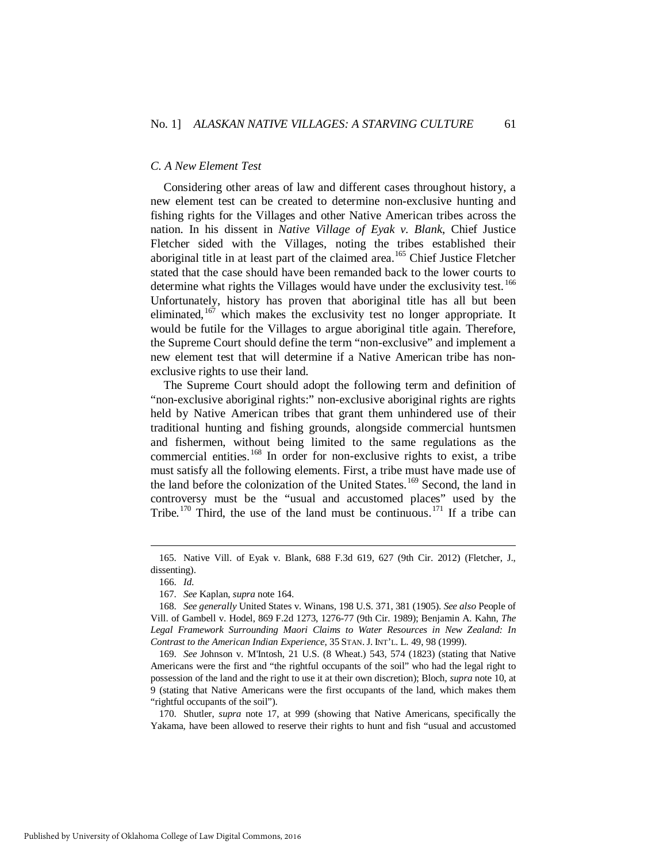#### *C. A New Element Test*

Considering other areas of law and different cases throughout history, a new element test can be created to determine non-exclusive hunting and fishing rights for the Villages and other Native American tribes across the nation. In his dissent in *Native Village of Eyak v. Blank*, Chief Justice Fletcher sided with the Villages, noting the tribes established their aboriginal title in at least part of the claimed area.<sup>[165](#page-21-0)</sup> Chief Justice Fletcher stated that the case should have been remanded back to the lower courts to determine what rights the Villages would have under the exclusivity test.<sup>[166](#page-21-1)</sup> Unfortunately, history has proven that aboriginal title has all but been eliminated,  $167$  which makes the exclusivity test no longer appropriate. It would be futile for the Villages to argue aboriginal title again. Therefore, the Supreme Court should define the term "non-exclusive" and implement a new element test that will determine if a Native American tribe has nonexclusive rights to use their land.

The Supreme Court should adopt the following term and definition of "non-exclusive aboriginal rights:" non-exclusive aboriginal rights are rights held by Native American tribes that grant them unhindered use of their traditional hunting and fishing grounds, alongside commercial huntsmen and fishermen, without being limited to the same regulations as the commercial entities.<sup>[168](#page-21-3)</sup> In order for non-exclusive rights to exist, a tribe must satisfy all the following elements. First, a tribe must have made use of the land before the colonization of the United States.<sup>[169](#page-21-4)</sup> Second, the land in controversy must be the "usual and accustomed places" used by the Tribe.<sup>[170](#page-21-5)</sup> Third, the use of the land must be continuous.<sup>[171](#page-21-4)</sup> If a tribe can

<span id="page-21-1"></span><span id="page-21-0"></span> <sup>165.</sup> Native Vill. of Eyak v. Blank, 688 F.3d 619, 627 (9th Cir. 2012) (Fletcher, J., dissenting).

 <sup>166.</sup> *Id.*

 <sup>167.</sup> *See* Kaplan, *supra* note 164.

<span id="page-21-3"></span><span id="page-21-2"></span> <sup>168.</sup> *See generally* United States v. Winans, 198 U.S. 371, 381 (1905). *See also* People of Vill. of Gambell v. Hodel, 869 F.2d 1273, 1276-77 (9th Cir. 1989); Benjamin A. Kahn, *The*  Legal Framework Surrounding Maori Claims to Water Resources in New Zealand: In *Contrast to the American Indian Experience*, 35 STAN. J. INT'L. L. 49, 98 (1999).

<span id="page-21-4"></span> <sup>169.</sup> *See* Johnson v. M'Intosh, 21 U.S. (8 Wheat.) 543, 574 (1823) (stating that Native Americans were the first and "the rightful occupants of the soil" who had the legal right to possession of the land and the right to use it at their own discretion); Bloch, *supra* note 10, at 9 (stating that Native Americans were the first occupants of the land, which makes them "rightful occupants of the soil").

<span id="page-21-5"></span> <sup>170.</sup> Shutler, *supra* note 17, at 999 (showing that Native Americans, specifically the Yakama, have been allowed to reserve their rights to hunt and fish "usual and accustomed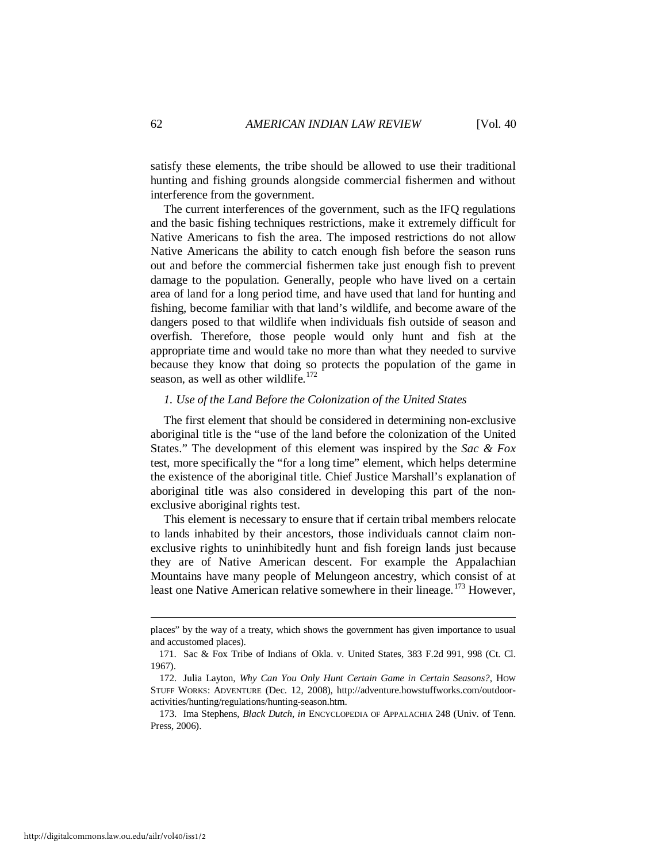satisfy these elements, the tribe should be allowed to use their traditional hunting and fishing grounds alongside commercial fishermen and without interference from the government.

The current interferences of the government, such as the IFQ regulations and the basic fishing techniques restrictions, make it extremely difficult for Native Americans to fish the area. The imposed restrictions do not allow Native Americans the ability to catch enough fish before the season runs out and before the commercial fishermen take just enough fish to prevent damage to the population. Generally, people who have lived on a certain area of land for a long period time, and have used that land for hunting and fishing, become familiar with that land's wildlife, and become aware of the dangers posed to that wildlife when individuals fish outside of season and overfish. Therefore, those people would only hunt and fish at the appropriate time and would take no more than what they needed to survive because they know that doing so protects the population of the game in season, as well as other wildlife. $172$ 

#### *1. Use of the Land Before the Colonization of the United States*

The first element that should be considered in determining non-exclusive aboriginal title is the "use of the land before the colonization of the United States." The development of this element was inspired by the *Sac & Fox* test, more specifically the "for a long time" element, which helps determine the existence of the aboriginal title. Chief Justice Marshall's explanation of aboriginal title was also considered in developing this part of the nonexclusive aboriginal rights test.

This element is necessary to ensure that if certain tribal members relocate to lands inhabited by their ancestors, those individuals cannot claim nonexclusive rights to uninhibitedly hunt and fish foreign lands just because they are of Native American descent. For example the Appalachian Mountains have many people of Melungeon ancestry, which consist of at least one Native American relative somewhere in their lineage.<sup>[173](#page-22-1)</sup> However,

places" by the way of a treaty, which shows the government has given importance to usual and accustomed places).

 <sup>171.</sup> Sac & Fox Tribe of Indians of Okla. v. United States, 383 F.2d 991, 998 (Ct. Cl. 1967).

<span id="page-22-0"></span> <sup>172.</sup> Julia Layton, *Why Can You Only Hunt Certain Game in Certain Seasons?*, HOW STUFF WORKS: ADVENTURE (Dec. 12, 2008), http://adventure.howstuffworks.com/outdooractivities/hunting/regulations/hunting-season.htm.

<span id="page-22-1"></span> <sup>173.</sup> Ima Stephens, *Black Dutch*, *in* ENCYCLOPEDIA OF APPALACHIA 248 (Univ. of Tenn. Press, 2006).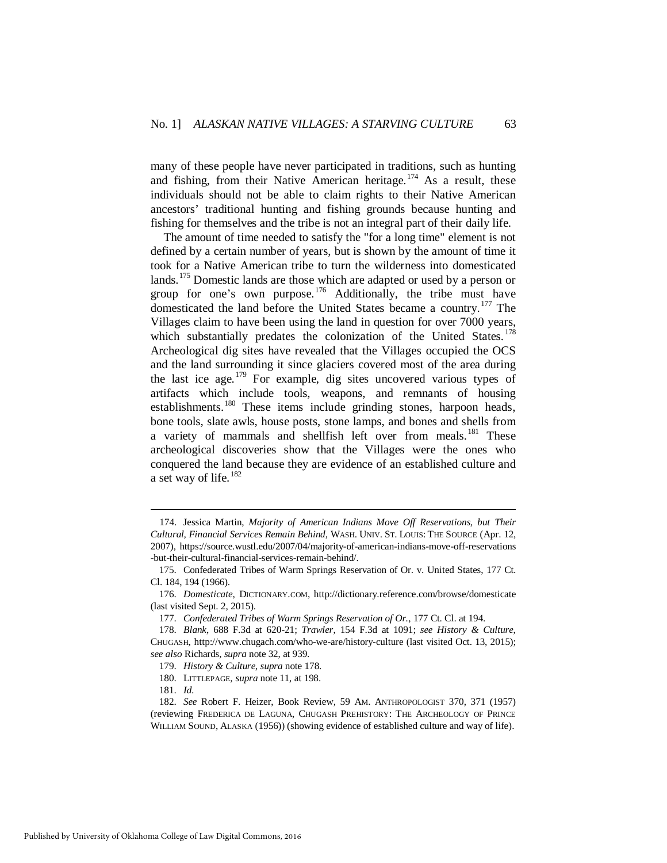many of these people have never participated in traditions, such as hunting and fishing, from their Native American heritage.<sup>[174](#page-23-0)</sup> As a result, these individuals should not be able to claim rights to their Native American ancestors' traditional hunting and fishing grounds because hunting and fishing for themselves and the tribe is not an integral part of their daily life.

The amount of time needed to satisfy the "for a long time" element is not defined by a certain number of years, but is shown by the amount of time it took for a Native American tribe to turn the wilderness into domesticated lands.<sup>[175](#page-23-1)</sup> Domestic lands are those which are adapted or used by a person or group for one's own purpose.<sup>[176](#page-23-2)</sup> Additionally, the tribe must have domesticated the land before the United States became a country.<sup>[177](#page-23-3)</sup> The Villages claim to have been using the land in question for over 7000 years, which substantially predates the colonization of the United States.<sup>[178](#page-23-4)</sup> Archeological dig sites have revealed that the Villages occupied the OCS and the land surrounding it since glaciers covered most of the area during the last ice age.<sup>[179](#page-23-5)</sup> For example, dig sites uncovered various types of artifacts which include tools, weapons, and remnants of housing establishments.<sup>[180](#page-23-6)</sup> These items include grinding stones, harpoon heads, bone tools, slate awls, house posts, stone lamps, and bones and shells from a variety of mammals and shellfish left over from meals.<sup>[181](#page-23-7)</sup> These archeological discoveries show that the Villages were the ones who conquered the land because they are evidence of an established culture and a set way of life.<sup>[182](#page-23-8)</sup>

<span id="page-23-0"></span> <sup>174.</sup> Jessica Martin, *Majority of American Indians Move Off Reservations, but Their Cultural, Financial Services Remain Behind*, WASH. UNIV. ST. LOUIS: THE SOURCE (Apr. 12, 2007), https://source.wustl.edu/2007/04/majority-of-american-indians-move-off-reservations -but-their-cultural-financial-services-remain-behind/.

<span id="page-23-1"></span> <sup>175.</sup> Confederated Tribes of Warm Springs Reservation of Or. v. United States, 177 Ct. Cl. 184, 194 (1966).

<span id="page-23-2"></span> <sup>176.</sup> *Domesticate*, DICTIONARY.COM, http://dictionary.reference.com/browse/domesticate (last visited Sept. 2, 2015).

 <sup>177.</sup> *Confederated Tribes of Warm Springs Reservation of Or.*, 177 Ct. Cl. at 194.

<span id="page-23-5"></span><span id="page-23-4"></span><span id="page-23-3"></span> <sup>178.</sup> *Blank*, 688 F.3d at 620-21; *Trawler*, 154 F.3d at 1091; *see History & Culture*, CHUGASH, http://www.chugach.com/who-we-are/history-culture (last visited Oct. 13, 2015); *see also* Richards, *supra* note 32, at 939.

 <sup>179.</sup> *History & Culture*, *supra* note 178.

 <sup>180.</sup> LITTLEPAGE, *supra* note 11, at 198.

 <sup>181.</sup> *Id.*

<span id="page-23-8"></span><span id="page-23-7"></span><span id="page-23-6"></span> <sup>182.</sup> *See* Robert F. Heizer, Book Review, 59 AM. ANTHROPOLOGIST 370, 371 (1957) (reviewing FREDERICA DE LAGUNA, CHUGASH PREHISTORY: THE ARCHEOLOGY OF PRINCE WILLIAM SOUND, ALASKA (1956)) (showing evidence of established culture and way of life).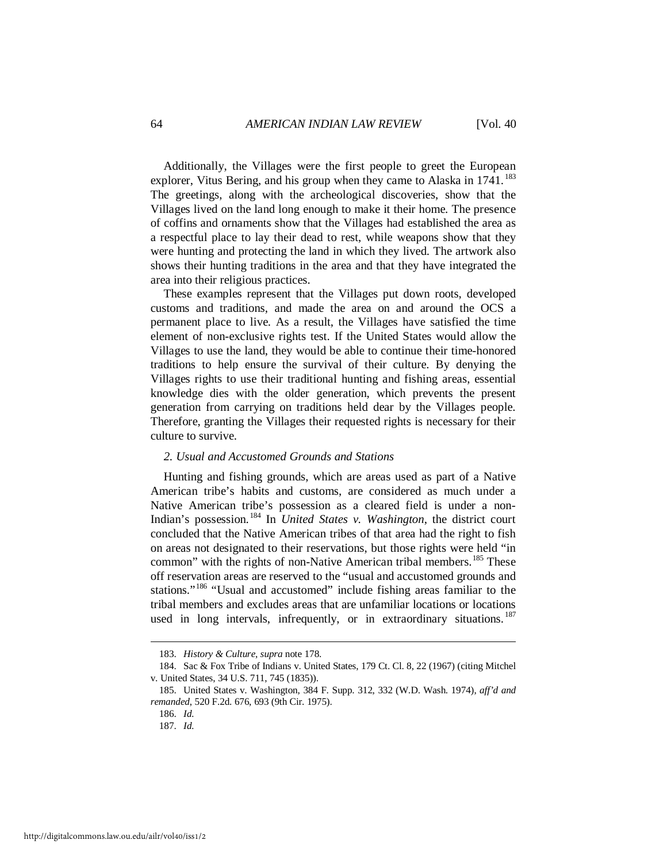Additionally, the Villages were the first people to greet the European explorer, Vitus Bering, and his group when they came to Alaska in 1741.<sup>[183](#page-24-0)</sup> The greetings, along with the archeological discoveries, show that the Villages lived on the land long enough to make it their home. The presence of coffins and ornaments show that the Villages had established the area as a respectful place to lay their dead to rest, while weapons show that they were hunting and protecting the land in which they lived. The artwork also shows their hunting traditions in the area and that they have integrated the area into their religious practices.

These examples represent that the Villages put down roots, developed customs and traditions, and made the area on and around the OCS a permanent place to live. As a result, the Villages have satisfied the time element of non-exclusive rights test. If the United States would allow the Villages to use the land, they would be able to continue their time-honored traditions to help ensure the survival of their culture. By denying the Villages rights to use their traditional hunting and fishing areas, essential knowledge dies with the older generation, which prevents the present generation from carrying on traditions held dear by the Villages people. Therefore, granting the Villages their requested rights is necessary for their culture to survive.

#### *2. Usual and Accustomed Grounds and Stations*

Hunting and fishing grounds, which are areas used as part of a Native American tribe's habits and customs, are considered as much under a Native American tribe's possession as a cleared field is under a non-Indian's possession. [184](#page-24-1) In *United States v. Washington*, the district court concluded that the Native American tribes of that area had the right to fish on areas not designated to their reservations, but those rights were held "in common" with the rights of non-Native American tribal members.<sup>[185](#page-24-2)</sup> These off reservation areas are reserved to the "usual and accustomed grounds and stations."<sup>[186](#page-24-3)</sup> "Usual and accustomed" include fishing areas familiar to the tribal members and excludes areas that are unfamiliar locations or locations used in long intervals, infrequently, or in extraordinary situations.<sup>[187](#page-24-4)</sup>

 <sup>183.</sup> *History & Culture*, *supra* note 178.

<span id="page-24-1"></span><span id="page-24-0"></span> <sup>184.</sup> Sac & Fox Tribe of Indians v. United States, 179 Ct. Cl. 8, 22 (1967) (citing Mitchel v. United States, 34 U.S. 711, 745 (1835)).

<span id="page-24-4"></span><span id="page-24-3"></span><span id="page-24-2"></span> <sup>185.</sup> United States v. Washington, 384 F. Supp. 312, 332 (W.D. Wash. 1974), *aff'd and remanded*, 520 F.2d. 676, 693 (9th Cir. 1975).

 <sup>186.</sup> *Id.*

 <sup>187.</sup> *Id.*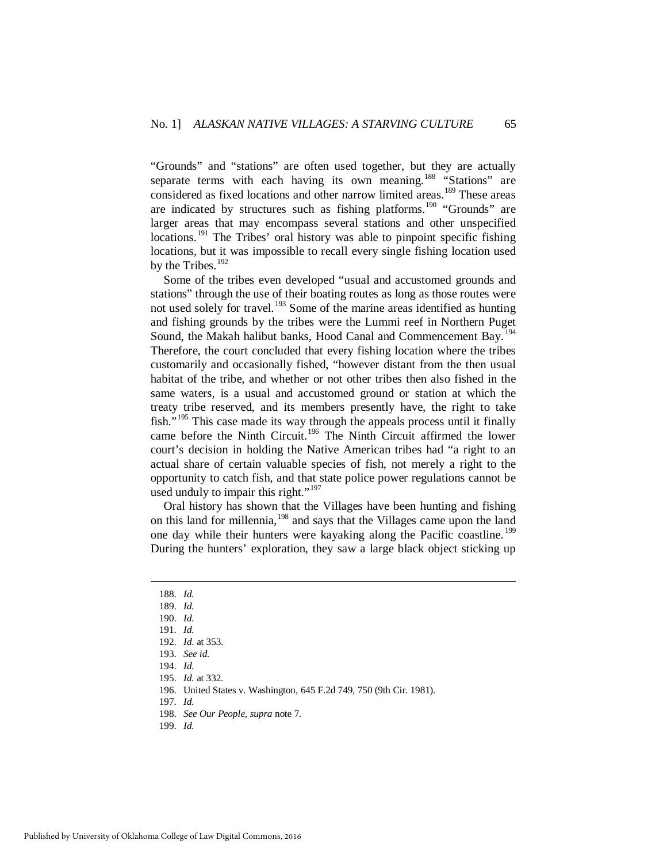"Grounds" and "stations" are often used together, but they are actually separate terms with each having its own meaning.<sup>[188](#page-25-0)</sup> "Stations" are considered as fixed locations and other narrow limited areas.<sup>[189](#page-25-1)</sup> These areas are indicated by structures such as fishing platforms.<sup>[190](#page-25-2)</sup> "Grounds" are larger areas that may encompass several stations and other unspecified locations.<sup>[191](#page-25-3)</sup> The Tribes' oral history was able to pinpoint specific fishing locations, but it was impossible to recall every single fishing location used by the Tribes. $192$ 

Some of the tribes even developed "usual and accustomed grounds and stations" through the use of their boating routes as long as those routes were not used solely for travel.<sup>[193](#page-25-5)</sup> Some of the marine areas identified as hunting and fishing grounds by the tribes were the Lummi reef in Northern Puget Sound, the Makah halibut banks, Hood Canal and Commencement Bay.<sup>[194](#page-25-6)</sup> Therefore, the court concluded that every fishing location where the tribes customarily and occasionally fished, "however distant from the then usual habitat of the tribe, and whether or not other tribes then also fished in the same waters, is a usual and accustomed ground or station at which the treaty tribe reserved, and its members presently have, the right to take fish."<sup>[195](#page-25-7)</sup> This case made its way through the appeals process until it finally came before the Ninth Circuit.<sup>[196](#page-25-8)</sup> The Ninth Circuit affirmed the lower court's decision in holding the Native American tribes had "a right to an actual share of certain valuable species of fish, not merely a right to the opportunity to catch fish, and that state police power regulations cannot be used unduly to impair this right."<sup>[197](#page-25-9)</sup>

Oral history has shown that the Villages have been hunting and fishing on this land for millennia,[198](#page-25-10) and says that the Villages came upon the land one day while their hunters were kayaking along the Pacific coastline.<sup>[199](#page-25-11)</sup> During the hunters' exploration, they saw a large black object sticking up

<span id="page-25-3"></span><span id="page-25-2"></span><span id="page-25-1"></span><span id="page-25-0"></span>-

197. *Id.*

 <sup>188.</sup> *Id.*

 <sup>189.</sup> *Id.*

 <sup>190.</sup> *Id.*

 <sup>191.</sup> *Id.*

 <sup>192.</sup> *Id.* at 353.

<span id="page-25-5"></span><span id="page-25-4"></span> <sup>193.</sup> *See id.*

 <sup>194.</sup> *Id.*

<span id="page-25-9"></span><span id="page-25-8"></span><span id="page-25-7"></span><span id="page-25-6"></span> <sup>195.</sup> *Id.* at 332.

 <sup>196.</sup> United States v. Washington, 645 F.2d 749, 750 (9th Cir. 1981).

 <sup>198.</sup> *See Our People*, *supra* note 7.

<span id="page-25-11"></span><span id="page-25-10"></span> <sup>199.</sup> *Id.*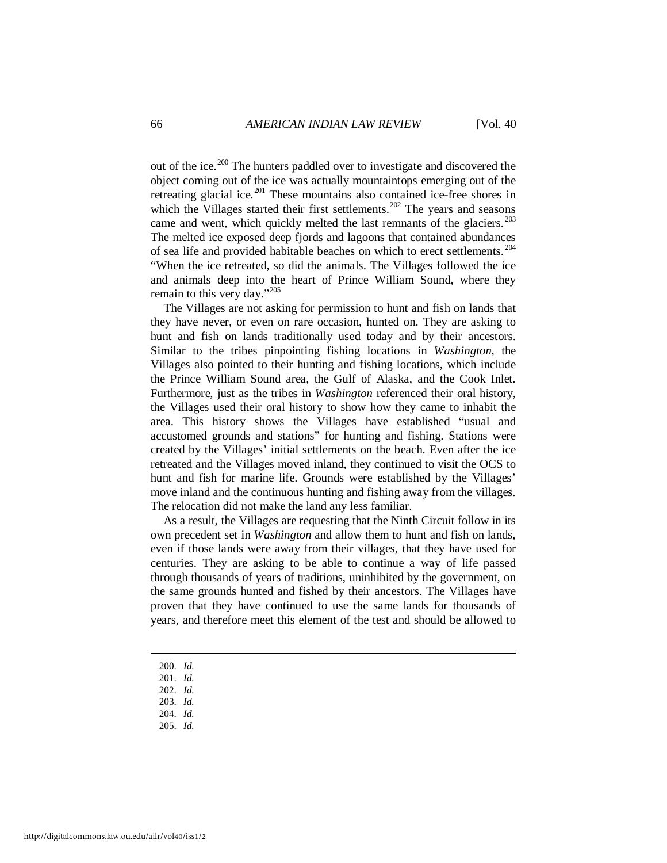out of the ice.<sup>[200](#page-26-0)</sup> The hunters paddled over to investigate and discovered the object coming out of the ice was actually mountaintops emerging out of the retreating glacial ice.<sup>[201](#page-26-1)</sup> These mountains also contained ice-free shores in which the Villages started their first settlements.<sup>[202](#page-26-2)</sup> The years and seasons came and went, which quickly melted the last remnants of the glaciers.  $203$ The melted ice exposed deep fjords and lagoons that contained abundances of sea life and provided habitable beaches on which to erect settlements. [204](#page-26-4) "When the ice retreated, so did the animals. The Villages followed the ice and animals deep into the heart of Prince William Sound, where they remain to this very day."<sup>[205](#page-26-5)</sup>

The Villages are not asking for permission to hunt and fish on lands that they have never, or even on rare occasion, hunted on. They are asking to hunt and fish on lands traditionally used today and by their ancestors. Similar to the tribes pinpointing fishing locations in *Washington*, the Villages also pointed to their hunting and fishing locations, which include the Prince William Sound area, the Gulf of Alaska, and the Cook Inlet. Furthermore, just as the tribes in *Washington* referenced their oral history, the Villages used their oral history to show how they came to inhabit the area. This history shows the Villages have established "usual and accustomed grounds and stations" for hunting and fishing. Stations were created by the Villages' initial settlements on the beach. Even after the ice retreated and the Villages moved inland, they continued to visit the OCS to hunt and fish for marine life. Grounds were established by the Villages' move inland and the continuous hunting and fishing away from the villages. The relocation did not make the land any less familiar.

As a result, the Villages are requesting that the Ninth Circuit follow in its own precedent set in *Washington* and allow them to hunt and fish on lands, even if those lands were away from their villages, that they have used for centuries. They are asking to be able to continue a way of life passed through thousands of years of traditions, uninhibited by the government, on the same grounds hunted and fished by their ancestors. The Villages have proven that they have continued to use the same lands for thousands of years, and therefore meet this element of the test and should be allowed to

<span id="page-26-0"></span>200. *Id.*

- <span id="page-26-1"></span>201. *Id.*
- <span id="page-26-2"></span>202. *Id.*
- <span id="page-26-3"></span>203. *Id.*
- 204. *Id.*
- <span id="page-26-5"></span><span id="page-26-4"></span>205. *Id.*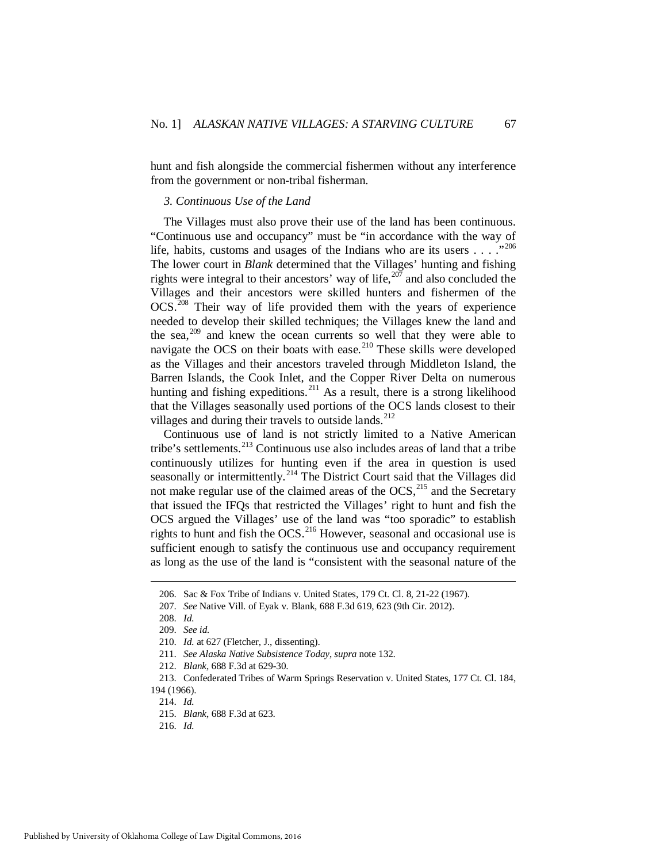hunt and fish alongside the commercial fishermen without any interference from the government or non-tribal fisherman.

#### *3. Continuous Use of the Land*

The Villages must also prove their use of the land has been continuous. "Continuous use and occupancy" must be "in accordance with the way of life, habits, customs and usages of the Indians who are its users . . . ."[206](#page-27-0) The lower court in *Blank* determined that the Villages' hunting and fishing rights were integral to their ancestors' way of life,  $207$  and also concluded the Villages and their ancestors were skilled hunters and fishermen of the OCS.[208](#page-27-2) Their way of life provided them with the years of experience needed to develop their skilled techniques; the Villages knew the land and the sea, $209$  and knew the ocean currents so well that they were able to navigate the OCS on their boats with ease.<sup>[210](#page-27-4)</sup> These skills were developed as the Villages and their ancestors traveled through Middleton Island, the Barren Islands, the Cook Inlet, and the Copper River Delta on numerous hunting and fishing expeditions.<sup>[211](#page-27-5)</sup> As a result, there is a strong likelihood that the Villages seasonally used portions of the OCS lands closest to their villages and during their travels to outside lands.<sup>[212](#page-27-6)</sup>

Continuous use of land is not strictly limited to a Native American tribe's settlements.<sup>[213](#page-27-7)</sup> Continuous use also includes areas of land that a tribe continuously utilizes for hunting even if the area in question is used seasonally or intermittently.<sup>[214](#page-27-8)</sup> The District Court said that the Villages did not make regular use of the claimed areas of the OCS,<sup>[215](#page-27-9)</sup> and the Secretary that issued the IFQs that restricted the Villages' right to hunt and fish the OCS argued the Villages' use of the land was "too sporadic" to establish rights to hunt and fish the OCS.<sup>[216](#page-27-10)</sup> However, seasonal and occasional use is sufficient enough to satisfy the continuous use and occupancy requirement as long as the use of the land is "consistent with the seasonal nature of the

 <sup>206.</sup> Sac & Fox Tribe of Indians v. United States, 179 Ct. Cl. 8, 21-22 (1967).

<span id="page-27-2"></span><span id="page-27-1"></span><span id="page-27-0"></span> <sup>207.</sup> *See* Native Vill. of Eyak v. Blank, 688 F.3d 619, 623 (9th Cir. 2012).

 <sup>208.</sup> *Id.*

<span id="page-27-3"></span> <sup>209.</sup> *See id.*

 <sup>210.</sup> *Id.* at 627 (Fletcher, J., dissenting).

 <sup>211.</sup> *See Alaska Native Subsistence Today*, *supra* note 132.

 <sup>212.</sup> *Blank*, 688 F.3d at 629-30.

<span id="page-27-9"></span><span id="page-27-8"></span><span id="page-27-7"></span><span id="page-27-6"></span><span id="page-27-5"></span><span id="page-27-4"></span> <sup>213.</sup> Confederated Tribes of Warm Springs Reservation v. United States, 177 Ct. Cl. 184, 194 (1966).

 <sup>214.</sup> *Id.*

 <sup>215.</sup> *Blank*, 688 F.3d at 623.

<span id="page-27-10"></span> <sup>216.</sup> *Id.*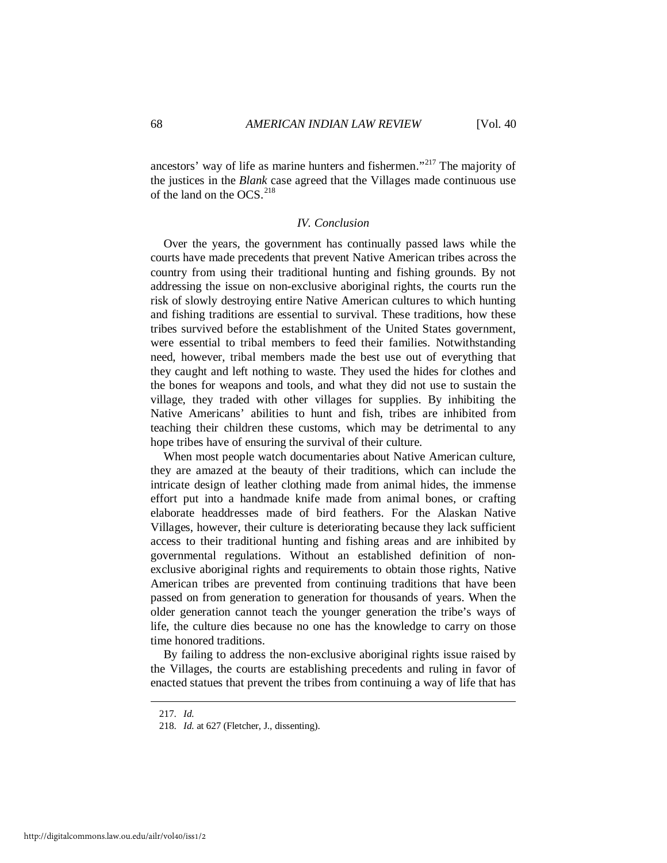ancestors' way of life as marine hunters and fishermen."<sup>[217](#page-28-0)</sup> The majority of the justices in the *Blank* case agreed that the Villages made continuous use of the land on the OCS. $^{218}$  $^{218}$  $^{218}$ 

# *IV. Conclusion*

Over the years, the government has continually passed laws while the courts have made precedents that prevent Native American tribes across the country from using their traditional hunting and fishing grounds. By not addressing the issue on non-exclusive aboriginal rights, the courts run the risk of slowly destroying entire Native American cultures to which hunting and fishing traditions are essential to survival. These traditions, how these tribes survived before the establishment of the United States government, were essential to tribal members to feed their families. Notwithstanding need, however, tribal members made the best use out of everything that they caught and left nothing to waste. They used the hides for clothes and the bones for weapons and tools, and what they did not use to sustain the village, they traded with other villages for supplies. By inhibiting the Native Americans' abilities to hunt and fish, tribes are inhibited from teaching their children these customs, which may be detrimental to any hope tribes have of ensuring the survival of their culture.

When most people watch documentaries about Native American culture, they are amazed at the beauty of their traditions, which can include the intricate design of leather clothing made from animal hides, the immense effort put into a handmade knife made from animal bones, or crafting elaborate headdresses made of bird feathers. For the Alaskan Native Villages, however, their culture is deteriorating because they lack sufficient access to their traditional hunting and fishing areas and are inhibited by governmental regulations. Without an established definition of nonexclusive aboriginal rights and requirements to obtain those rights, Native American tribes are prevented from continuing traditions that have been passed on from generation to generation for thousands of years. When the older generation cannot teach the younger generation the tribe's ways of life, the culture dies because no one has the knowledge to carry on those time honored traditions.

By failing to address the non-exclusive aboriginal rights issue raised by the Villages, the courts are establishing precedents and ruling in favor of enacted statues that prevent the tribes from continuing a way of life that has

<span id="page-28-1"></span><span id="page-28-0"></span> <sup>217.</sup> *Id.*

 <sup>218.</sup> *Id.* at 627 (Fletcher, J., dissenting).